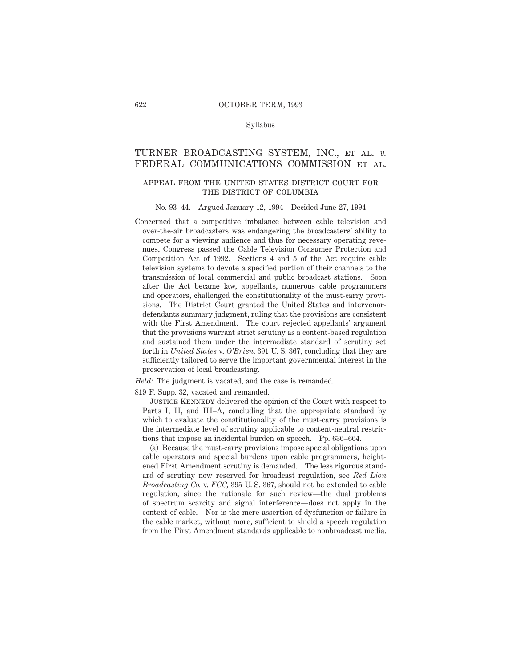# TURNER BROADCASTING SYSTEM, INC., et al. *v.* FEDERAL COMMUNICATIONS COMMISSION et al.

#### appeal from the united states district court forTHE DISTRICT OF COLUMBIA

#### No. 93–44. Argued January 12, 1994—Decided June 27, 1994

Concerned that a competitive imbalance between cable television and over-the-air broadcasters was endangering the broadcasters' ability to compete for a viewing audience and thus for necessary operating revenues, Congress passed the Cable Television Consumer Protection and Competition Act of 1992. Sections 4 and 5 of the Act require cable television systems to devote a specified portion of their channels to the transmission of local commercial and public broadcast stations. Soon after the Act became law, appellants, numerous cable programmers and operators, challenged the constitutionality of the must-carry provisions. The District Court granted the United States and intervenordefendants summary judgment, ruling that the provisions are consistent with the First Amendment. The court rejected appellants' argument that the provisions warrant strict scrutiny as a content-based regulation and sustained them under the intermediate standard of scrutiny set forth in *United States* v. *O'Brien,* 391 U. S. 367, concluding that they are sufficiently tailored to serve the important governmental interest in the preservation of local broadcasting.

*Held:* The judgment is vacated, and the case is remanded.

819 F. Supp. 32, vacated and remanded.

JUSTICE KENNEDY delivered the opinion of the Court with respect to Parts I, II, and III–A, concluding that the appropriate standard by which to evaluate the constitutionality of the must-carry provisions is the intermediate level of scrutiny applicable to content-neutral restrictions that impose an incidental burden on speech. Pp. 636–664.

(a) Because the must-carry provisions impose special obligations upon cable operators and special burdens upon cable programmers, heightened First Amendment scrutiny is demanded. The less rigorous standard of scrutiny now reserved for broadcast regulation, see *Red Lion Broadcasting Co.* v. *FCC,* 395 U. S. 367, should not be extended to cable regulation, since the rationale for such review—the dual problems of spectrum scarcity and signal interference—does not apply in the context of cable. Nor is the mere assertion of dysfunction or failure in the cable market, without more, sufficient to shield a speech regulation from the First Amendment standards applicable to nonbroadcast media.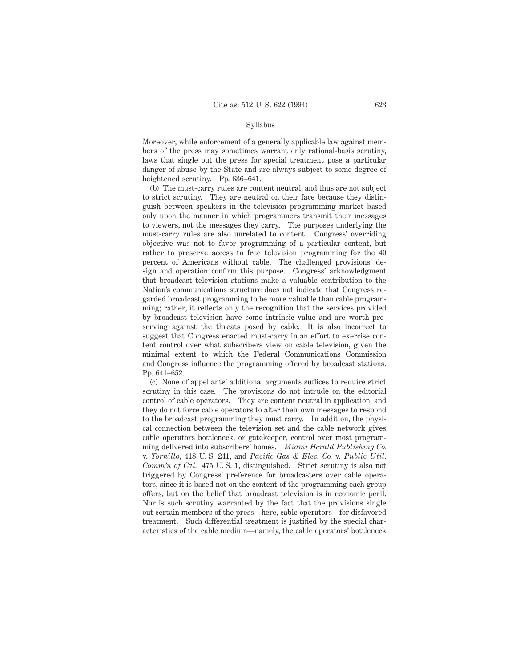Moreover, while enforcement of a generally applicable law against members of the press may sometimes warrant only rational-basis scrutiny, laws that single out the press for special treatment pose a particular danger of abuse by the State and are always subject to some degree of heightened scrutiny. Pp. 636–641.

(b) The must-carry rules are content neutral, and thus are not subject to strict scrutiny. They are neutral on their face because they distinguish between speakers in the television programming market based only upon the manner in which programmers transmit their messages to viewers, not the messages they carry. The purposes underlying the must-carry rules are also unrelated to content. Congress' overriding objective was not to favor programming of a particular content, but rather to preserve access to free television programming for the 40 percent of Americans without cable. The challenged provisions' design and operation confirm this purpose. Congress' acknowledgment that broadcast television stations make a valuable contribution to the Nation's communications structure does not indicate that Congress regarded broadcast programming to be more valuable than cable programming; rather, it reflects only the recognition that the services provided by broadcast television have some intrinsic value and are worth preserving against the threats posed by cable. It is also incorrect to suggest that Congress enacted must-carry in an effort to exercise content control over what subscribers view on cable television, given the minimal extent to which the Federal Communications Commission and Congress influence the programming offered by broadcast stations. Pp. 641–652.

(c) None of appellants' additional arguments suffices to require strict scrutiny in this case. The provisions do not intrude on the editorial control of cable operators. They are content neutral in application, and they do not force cable operators to alter their own messages to respond to the broadcast programming they must carry. In addition, the physical connection between the television set and the cable network gives cable operators bottleneck, or gatekeeper, control over most programming delivered into subscribers' homes. *Miami Herald Publishing Co.* v. *Tornillo,* 418 U. S. 241, and *Pacific Gas & Elec. Co.* v. *Public Util. Comm'n of Cal.,* 475 U. S. 1, distinguished. Strict scrutiny is also not triggered by Congress' preference for broadcasters over cable operators, since it is based not on the content of the programming each group offers, but on the belief that broadcast television is in economic peril. Nor is such scrutiny warranted by the fact that the provisions single out certain members of the press—here, cable operators—for disfavored treatment. Such differential treatment is justified by the special characteristics of the cable medium—namely, the cable operators' bottleneck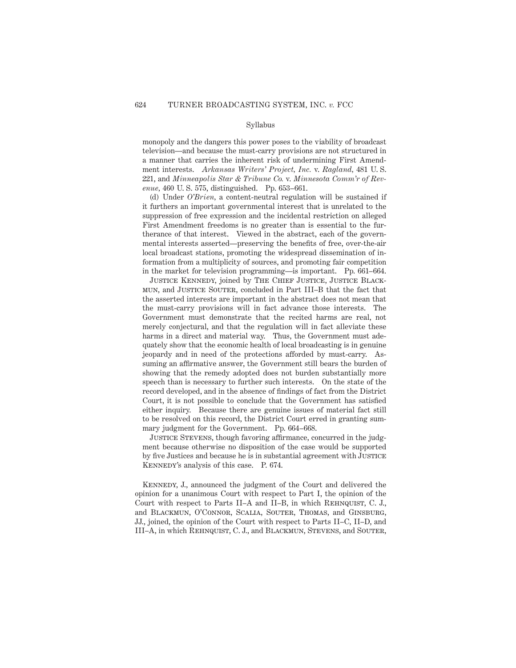monopoly and the dangers this power poses to the viability of broadcast television—and because the must-carry provisions are not structured in a manner that carries the inherent risk of undermining First Amendment interests. *Arkansas Writers' Project, Inc.* v. *Ragland,* 481 U. S. 221, and *Minneapolis Star & Tribune Co.* v. *Minnesota Comm'r of Revenue,* 460 U. S. 575, distinguished. Pp. 653–661.

(d) Under *O'Brien,* a content-neutral regulation will be sustained if it furthers an important governmental interest that is unrelated to the suppression of free expression and the incidental restriction on alleged First Amendment freedoms is no greater than is essential to the furtherance of that interest. Viewed in the abstract, each of the governmental interests asserted—preserving the benefits of free, over-the-air local broadcast stations, promoting the widespread dissemination of information from a multiplicity of sources, and promoting fair competition in the market for television programming—is important. Pp. 661–664.

Justice Kennedy, joined by The Chief Justice, Justice Blackmun, and Justice Souter, concluded in Part III–B that the fact that the asserted interests are important in the abstract does not mean that the must-carry provisions will in fact advance those interests. The Government must demonstrate that the recited harms are real, not merely conjectural, and that the regulation will in fact alleviate these harms in a direct and material way. Thus, the Government must adequately show that the economic health of local broadcasting is in genuine jeopardy and in need of the protections afforded by must-carry. Assuming an affirmative answer, the Government still bears the burden of showing that the remedy adopted does not burden substantially more speech than is necessary to further such interests. On the state of the record developed, and in the absence of findings of fact from the District Court, it is not possible to conclude that the Government has satisfied either inquiry. Because there are genuine issues of material fact still to be resolved on this record, the District Court erred in granting summary judgment for the Government. Pp. 664–668.

JUSTICE STEVENS, though favoring affirmance, concurred in the judgment because otherwise no disposition of the case would be supported by five Justices and because he is in substantial agreement with JUSTICE Kennedy's analysis of this case. P. 674.

KENNEDY, J., announced the judgment of the Court and delivered the opinion for a unanimous Court with respect to Part I, the opinion of the Court with respect to Parts II–A and II–B, in which Rehnquist, C. J., and Blackmun, O'Connor, Scalia, Souter, Thomas, and Ginsburg, JJ., joined, the opinion of the Court with respect to Parts II–C, II–D, and III–A, in which Rehnquist, C. J., and Blackmun, Stevens, and Souter,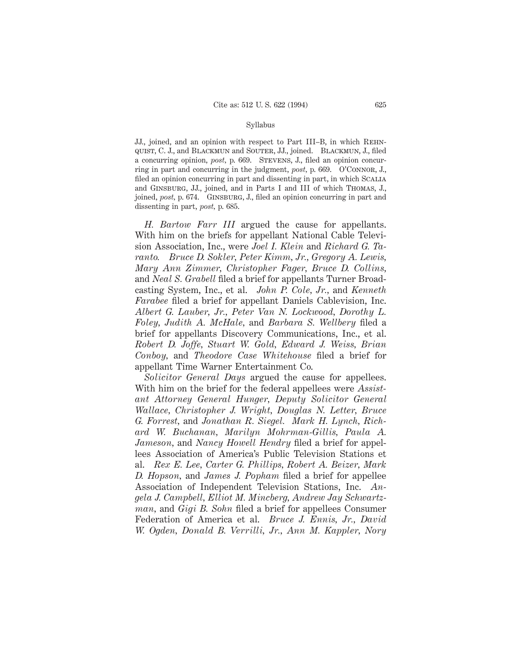JJ., joined, and an opinion with respect to Part III–B, in which Rehnquist, C. J., and Blackmun and Souter, JJ., joined. Blackmun, J., filed a concurring opinion, *post*, p. 669. STEVENS, J., filed an opinion concurring in part and concurring in the judgment, *post*, p. 669. O'CONNOR, J., filed an opinion concurring in part and dissenting in part, in which Scalia and Ginsburg, JJ., joined, and in Parts I and III of which Thomas, J., joined, *post*, p. 674. GINSBURG, J., filed an opinion concurring in part and dissenting in part, *post,* p. 685.

*H. Bartow Farr III* argued the cause for appellants. With him on the briefs for appellant National Cable Television Association, Inc., were *Joel I. Klein* and *Richard G. Taranto. Bruce D. Sokler, Peter Kimm, Jr., Gregory A. Lewis, Mary Ann Zimmer, Christopher Fager, Bruce D. Collins,* and *Neal S. Grabell* filed a brief for appellants Turner Broadcasting System, Inc., et al. *John P. Cole, Jr.,* and *Kenneth Farabee* filed a brief for appellant Daniels Cablevision, Inc. *Albert G. Lauber, Jr., Peter Van N. Lockwood, Dorothy L. Foley, Judith A. McHale,* and *Barbara S. Wellbery* filed a brief for appellants Discovery Communications, Inc., et al. *Robert D. Joffe, Stuart W. Gold, Edward J. Weiss, Brian Conboy,* and *Theodore Case Whitehouse* filed a brief for appellant Time Warner Entertainment Co.

*Solicitor General Days* argued the cause for appellees. With him on the brief for the federal appellees were *Assistant Attorney General Hunger, Deputy Solicitor General Wallace, Christopher J. Wright, Douglas N. Letter, Bruce G. Forrest,* and *Jonathan R. Siegel. Mark H. Lynch, Richard W. Buchanan, Marilyn Mohrman-Gillis, Paula A. Jameson,* and *Nancy Howell Hendry* filed a brief for appellees Association of America's Public Television Stations et al. *Rex E. Lee, Carter G. Phillips, Robert A. Beizer, Mark D. Hopson,* and *James J. Popham* filed a brief for appellee Association of Independent Television Stations, Inc. *Angela J. Campbell, Elliot M. Mincberg, Andrew Jay Schwartzman,* and *Gigi B. Sohn* filed a brief for appellees Consumer Federation of America et al. *Bruce J. Ennis, Jr., David W. Ogden, Donald B. Verrilli, Jr., Ann M. Kappler, Nory*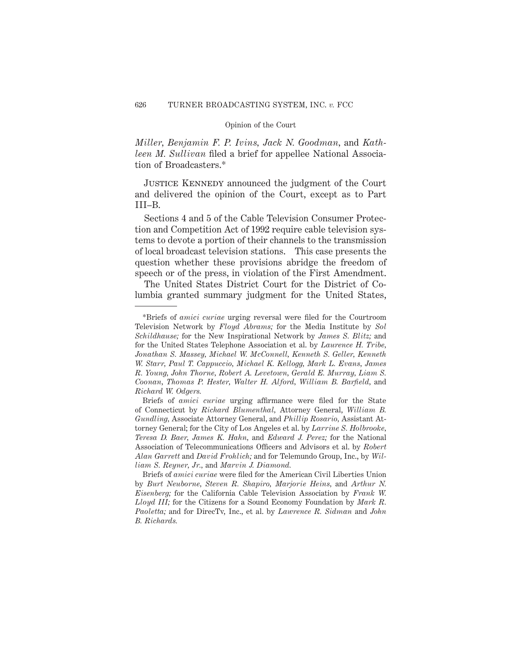*Miller, Benjamin F. P. Ivins, Jack N. Goodman,* and *Kathleen M. Sullivan* filed a brief for appellee National Association of Broadcasters.\*

JUSTICE KENNEDY announced the judgment of the Court and delivered the opinion of the Court, except as to Part III–B.

Sections 4 and 5 of the Cable Television Consumer Protection and Competition Act of 1992 require cable television systems to devote a portion of their channels to the transmission of local broadcast television stations. This case presents the question whether these provisions abridge the freedom of speech or of the press, in violation of the First Amendment.

The United States District Court for the District of Columbia granted summary judgment for the United States,

<sup>\*</sup>Briefs of *amici curiae* urging reversal were filed for the Courtroom Television Network by *Floyd Abrams;* for the Media Institute by *Sol Schildhause;* for the New Inspirational Network by *James S. Blitz;* and for the United States Telephone Association et al. by *Laurence H. Tribe, Jonathan S. Massey, Michael W. McConnell, Kenneth S. Geller, Kenneth W. Starr, Paul T. Cappuccio, Michael K. Kellogg, Mark L. Evans, James R. Young, John Thorne, Robert A. Levetown, Gerald E. Murray, Liam S. Coonan, Thomas P. Hester, Walter H. Alford, William B. Barfield,* and *Richard W. Odgers.*

Briefs of *amici curiae* urging affirmance were filed for the State of Connecticut by *Richard Blumenthal,* Attorney General, *William B. Gundling,* Associate Attorney General, and *Phillip Rosario,* Assistant Attorney General; for the City of Los Angeles et al. by *Larrine S. Holbrooke, Teresa D. Baer, James K. Hahn,* and *Edward J. Perez;* for the National Association of Telecommunications Officers and Advisors et al. by *Robert Alan Garrett* and *David Frohlich;* and for Telemundo Group, Inc., by *William S. Reyner, Jr.,* and *Marvin J. Diamond.*

Briefs of *amici curiae* were filed for the American Civil Liberties Union by *Burt Neuborne, Steven R. Shapiro, Marjorie Heins,* and *Arthur N. Eisenberg;* for the California Cable Television Association by *Frank W. Lloyd III;* for the Citizens for a Sound Economy Foundation by *Mark R. Paoletta;* and for DirecTv, Inc., et al. by *Lawrence R. Sidman* and *John B. Richards.*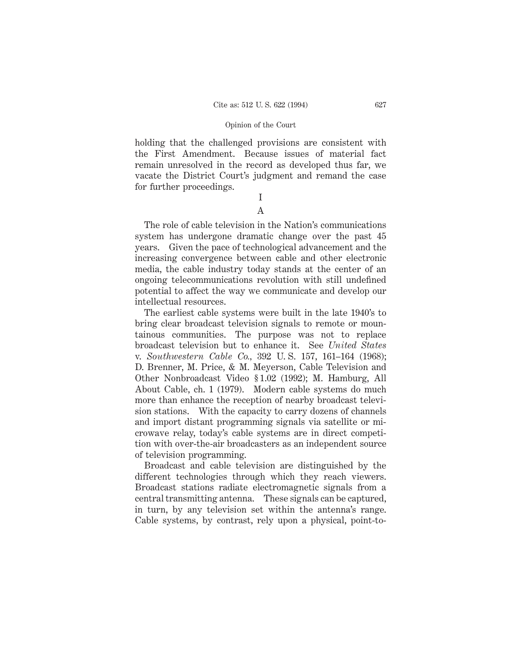holding that the challenged provisions are consistent with the First Amendment. Because issues of material fact remain unresolved in the record as developed thus far, we vacate the District Court's judgment and remand the case for further proceedings.

# I A

The role of cable television in the Nation's communications system has undergone dramatic change over the past 45 years. Given the pace of technological advancement and the increasing convergence between cable and other electronic media, the cable industry today stands at the center of an ongoing telecommunications revolution with still undefined potential to affect the way we communicate and develop our intellectual resources.

The earliest cable systems were built in the late 1940's to bring clear broadcast television signals to remote or mountainous communities. The purpose was not to replace broadcast television but to enhance it. See *United States* v. *Southwestern Cable Co.,* 392 U. S. 157, 161–164 (1968); D. Brenner, M. Price, & M. Meyerson, Cable Television and Other Nonbroadcast Video § 1.02 (1992); M. Hamburg, All About Cable, ch. 1 (1979). Modern cable systems do much more than enhance the reception of nearby broadcast television stations. With the capacity to carry dozens of channels and import distant programming signals via satellite or microwave relay, today's cable systems are in direct competition with over-the-air broadcasters as an independent source of television programming.

Broadcast and cable television are distinguished by the different technologies through which they reach viewers. Broadcast stations radiate electromagnetic signals from a central transmitting antenna. These signals can be captured, in turn, by any television set within the antenna's range. Cable systems, by contrast, rely upon a physical, point-to-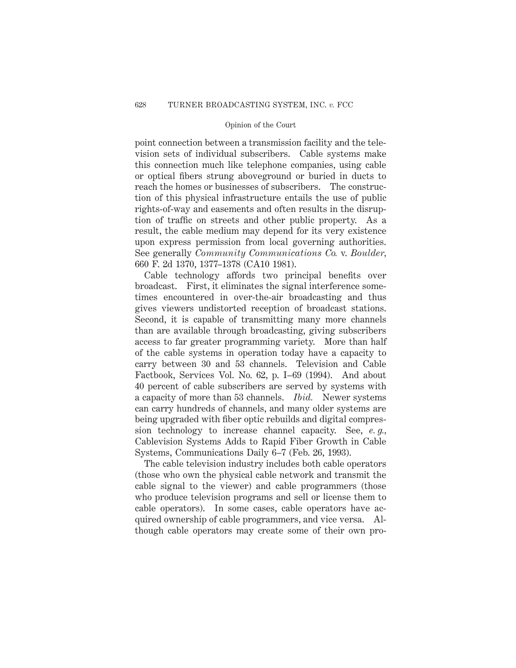point connection between a transmission facility and the television sets of individual subscribers. Cable systems make this connection much like telephone companies, using cable or optical fibers strung aboveground or buried in ducts to reach the homes or businesses of subscribers. The construction of this physical infrastructure entails the use of public rights-of-way and easements and often results in the disruption of traffic on streets and other public property. As a result, the cable medium may depend for its very existence upon express permission from local governing authorities. See generally *Community Communications Co.* v. *Boulder,* 660 F. 2d 1370, 1377–1378 (CA10 1981).

Cable technology affords two principal benefits over broadcast. First, it eliminates the signal interference sometimes encountered in over-the-air broadcasting and thus gives viewers undistorted reception of broadcast stations. Second, it is capable of transmitting many more channels than are available through broadcasting, giving subscribers access to far greater programming variety. More than half of the cable systems in operation today have a capacity to carry between 30 and 53 channels. Television and Cable Factbook, Services Vol. No. 62, p. I–69 (1994). And about 40 percent of cable subscribers are served by systems with a capacity of more than 53 channels. *Ibid.* Newer systems can carry hundreds of channels, and many older systems are being upgraded with fiber optic rebuilds and digital compression technology to increase channel capacity. See, *e. g.,* Cablevision Systems Adds to Rapid Fiber Growth in Cable Systems, Communications Daily 6–7 (Feb. 26, 1993).

The cable television industry includes both cable operators (those who own the physical cable network and transmit the cable signal to the viewer) and cable programmers (those who produce television programs and sell or license them to cable operators). In some cases, cable operators have acquired ownership of cable programmers, and vice versa. Although cable operators may create some of their own pro-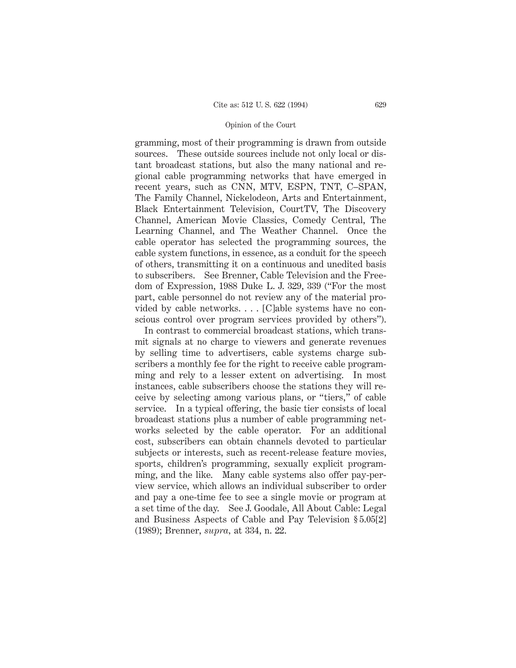gramming, most of their programming is drawn from outside sources. These outside sources include not only local or distant broadcast stations, but also the many national and regional cable programming networks that have emerged in recent years, such as CNN, MTV, ESPN, TNT, C–SPAN, The Family Channel, Nickelodeon, Arts and Entertainment, Black Entertainment Television, CourtTV, The Discovery Channel, American Movie Classics, Comedy Central, The Learning Channel, and The Weather Channel. Once the cable operator has selected the programming sources, the cable system functions, in essence, as a conduit for the speech of others, transmitting it on a continuous and unedited basis to subscribers. See Brenner, Cable Television and the Freedom of Expression, 1988 Duke L. J. 329, 339 ("For the most part, cable personnel do not review any of the material provided by cable networks.... [C]able systems have no conscious control over program services provided by others").

In contrast to commercial broadcast stations, which transmit signals at no charge to viewers and generate revenues by selling time to advertisers, cable systems charge subscribers a monthly fee for the right to receive cable programming and rely to a lesser extent on advertising. In most instances, cable subscribers choose the stations they will receive by selecting among various plans, or "tiers," of cable service. In a typical offering, the basic tier consists of local broadcast stations plus a number of cable programming networks selected by the cable operator. For an additional cost, subscribers can obtain channels devoted to particular subjects or interests, such as recent-release feature movies, sports, children's programming, sexually explicit programming, and the like. Many cable systems also offer pay-perview service, which allows an individual subscriber to order and pay a one-time fee to see a single movie or program at a set time of the day. See J. Goodale, All About Cable: Legal and Business Aspects of Cable and Pay Television § 5.05[2] (1989); Brenner, *supra,* at 334, n. 22.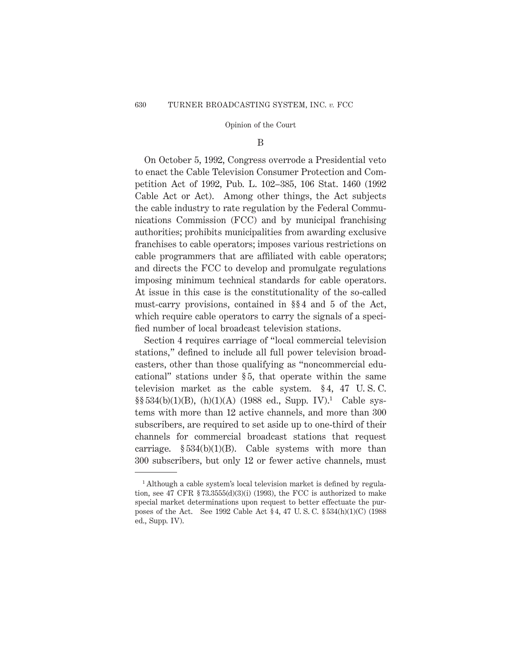### B

On October 5, 1992, Congress overrode a Presidential veto to enact the Cable Television Consumer Protection and Competition Act of 1992, Pub. L. 102–385, 106 Stat. 1460 (1992 Cable Act or Act). Among other things, the Act subjects the cable industry to rate regulation by the Federal Communications Commission (FCC) and by municipal franchising authorities; prohibits municipalities from awarding exclusive franchises to cable operators; imposes various restrictions on cable programmers that are affiliated with cable operators; and directs the FCC to develop and promulgate regulations imposing minimum technical standards for cable operators. At issue in this case is the constitutionality of the so-called must-carry provisions, contained in §§ 4 and 5 of the Act, which require cable operators to carry the signals of a specified number of local broadcast television stations.

Section 4 requires carriage of "local commercial television stations," defined to include all full power television broadcasters, other than those qualifying as "noncommercial educational" stations under § 5, that operate within the same television market as the cable system. § 4, 47 U. S. C.  $\S$ §534(b)(1)(B), (h)(1)(A) (1988 ed., Supp. IV).<sup>1</sup> Cable systems with more than 12 active channels, and more than 300 subscribers, are required to set aside up to one-third of their channels for commercial broadcast stations that request carriage.  $$534(b)(1)(B)$ . Cable systems with more than 300 subscribers, but only 12 or fewer active channels, must

<sup>&</sup>lt;sup>1</sup> Although a cable system's local television market is defined by regulation, see 47 CFR  $$73.3555(d)(3)(i)$  (1993), the FCC is authorized to make special market determinations upon request to better effectuate the purposes of the Act. See 1992 Cable Act § 4, 47 U. S. C. § 534(h)(1)(C) (1988 ed., Supp. IV).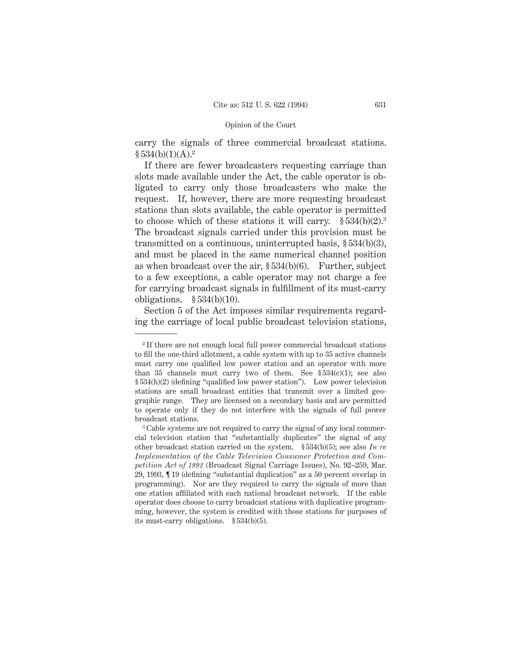carry the signals of three commercial broadcast stations.  $§ 534(b)(1)(A).<sup>2</sup>$ 

If there are fewer broadcasters requesting carriage than slots made available under the Act, the cable operator is obligated to carry only those broadcasters who make the request. If, however, there are more requesting broadcast stations than slots available, the cable operator is permitted to choose which of these stations it will carry.  $\S 534(b)(2).$ <sup>3</sup> The broadcast signals carried under this provision must be transmitted on a continuous, uninterrupted basis, § 534(b)(3), and must be placed in the same numerical channel position as when broadcast over the air, § 534(b)(6). Further, subject to a few exceptions, a cable operator may not charge a fee for carrying broadcast signals in fulfillment of its must-carry obligations.  $§ 534(b)(10)$ .

Section 5 of the Act imposes similar requirements regarding the carriage of local public broadcast television stations,

<sup>&</sup>lt;sup>2</sup> If there are not enough local full power commercial broadcast stations to fill the one-third allotment, a cable system with up to 35 active channels must carry one qualified low power station and an operator with more than 35 channels must carry two of them. See  $$534(c)(1)$ ; see also § 534(h)(2) (defining "qualified low power station"). Low power television stations are small broadcast entities that transmit over a limited geographic range. They are licensed on a secondary basis and are permitted to operate only if they do not interfere with the signals of full power broadcast stations.

<sup>3</sup> Cable systems are not required to carry the signal of any local commercial television station that "substantially duplicates" the signal of any other broadcast station carried on the system. § 534(b)(5); see also *In re Implementation of the Cable Television Consumer Protection and Competition Act of 1992* (Broadcast Signal Carriage Issues), No. 92–259, Mar. 29, 1993, ¶ 19 (defining "substantial duplication" as a 50 percent overlap in programming). Nor are they required to carry the signals of more than one station affiliated with each national broadcast network. If the cable operator does choose to carry broadcast stations with duplicative programming, however, the system is credited with those stations for purposes of its must-carry obligations. § 534(b)(5).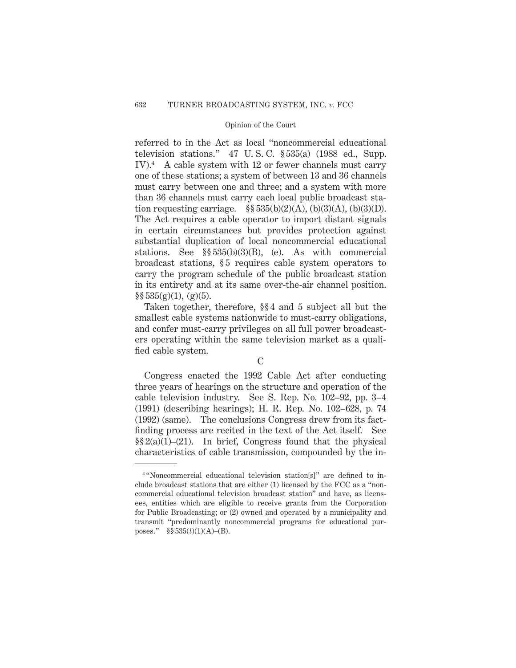referred to in the Act as local "noncommercial educational television stations." 47 U. S. C. § 535(a) (1988 ed., Supp. IV).<sup>4</sup> A cable system with 12 or fewer channels must carry one of these stations; a system of between 13 and 36 channels must carry between one and three; and a system with more than 36 channels must carry each local public broadcast station requesting carriage.  $\S$ § 535(b)(2)(A), (b)(3)(A), (b)(3)(D). The Act requires a cable operator to import distant signals in certain circumstances but provides protection against substantial duplication of local noncommercial educational stations. See §§ 535(b)(3)(B), (e). As with commercial broadcast stations, § 5 requires cable system operators to carry the program schedule of the public broadcast station in its entirety and at its same over-the-air channel position.  $\S\S535(g)(1)$ , (g)(5).

Taken together, therefore, §§ 4 and 5 subject all but the smallest cable systems nationwide to must-carry obligations, and confer must-carry privileges on all full power broadcasters operating within the same television market as a qualified cable system.

Congress enacted the 1992 Cable Act after conducting three years of hearings on the structure and operation of the cable television industry. See S. Rep. No. 102–92, pp. 3–4 (1991) (describing hearings); H. R. Rep. No. 102–628, p. 74 (1992) (same). The conclusions Congress drew from its factfinding process are recited in the text of the Act itself. See  $\S\S 2(a)(1)$ –(21). In brief, Congress found that the physical characteristics of cable transmission, compounded by the in-

<sup>4</sup> "Noncommercial educational television station[s]" are defined to include broadcast stations that are either (1) licensed by the FCC as a "noncommercial educational television broadcast station" and have, as licensees, entities which are eligible to receive grants from the Corporation for Public Broadcasting; or (2) owned and operated by a municipality and transmit "predominantly noncommercial programs for educational purposes." §§ 535(*l*)(1)(A)–(B).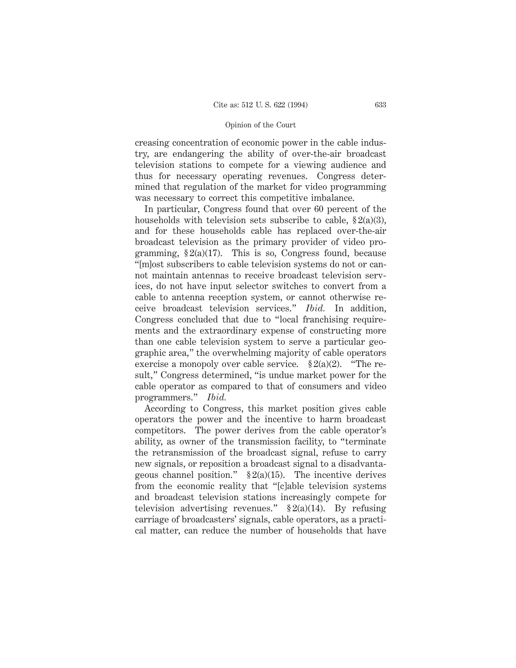creasing concentration of economic power in the cable industry, are endangering the ability of over-the-air broadcast television stations to compete for a viewing audience and thus for necessary operating revenues. Congress determined that regulation of the market for video programming was necessary to correct this competitive imbalance.

In particular, Congress found that over 60 percent of the households with television sets subscribe to cable,  $\S 2(a)(3)$ , and for these households cable has replaced over-the-air broadcast television as the primary provider of video programming,  $\S 2(a)(17)$ . This is so, Congress found, because "[m]ost subscribers to cable television systems do not or cannot maintain antennas to receive broadcast television services, do not have input selector switches to convert from a cable to antenna reception system, or cannot otherwise receive broadcast television services." *Ibid.* In addition, Congress concluded that due to "local franchising requirements and the extraordinary expense of constructing more than one cable television system to serve a particular geographic area," the overwhelming majority of cable operators exercise a monopoly over cable service.  $\S 2(a)(2)$ . "The result," Congress determined, "is undue market power for the cable operator as compared to that of consumers and video programmers." *Ibid.*

According to Congress, this market position gives cable operators the power and the incentive to harm broadcast competitors. The power derives from the cable operator's ability, as owner of the transmission facility, to "terminate the retransmission of the broadcast signal, refuse to carry new signals, or reposition a broadcast signal to a disadvantageous channel position."  $\S 2(a)(15)$ . The incentive derives from the economic reality that "[c]able television systems and broadcast television stations increasingly compete for television advertising revenues."  $\S 2(a)(14)$ . By refusing carriage of broadcasters' signals, cable operators, as a practical matter, can reduce the number of households that have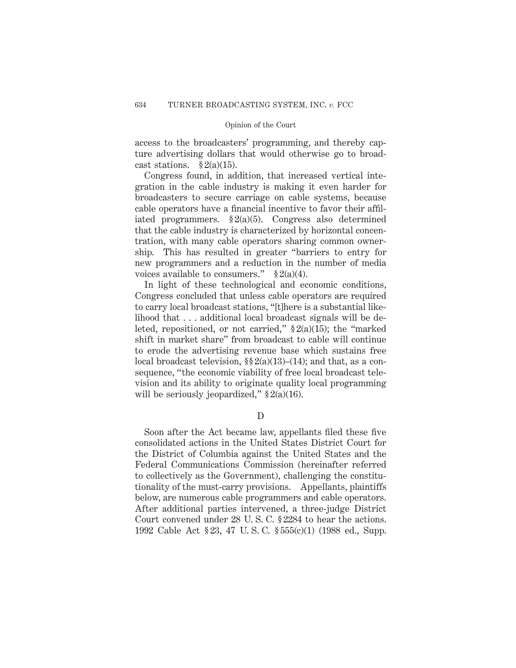access to the broadcasters' programming, and thereby capture advertising dollars that would otherwise go to broadcast stations.  $\S 2(a)(15)$ .

Congress found, in addition, that increased vertical integration in the cable industry is making it even harder for broadcasters to secure carriage on cable systems, because cable operators have a financial incentive to favor their affiliated programmers. § 2(a)(5). Congress also determined that the cable industry is characterized by horizontal concentration, with many cable operators sharing common ownership. This has resulted in greater "barriers to entry for new programmers and a reduction in the number of media voices available to consumers."  $§ 2(a)(4)$ .

In light of these technological and economic conditions, Congress concluded that unless cable operators are required to carry local broadcast stations, "[t]here is a substantial likelihood that . . . additional local broadcast signals will be deleted, repositioned, or not carried," § 2(a)(15); the "marked shift in market share" from broadcast to cable will continue to erode the advertising revenue base which sustains free local broadcast television,  $\S § 2(a)(13)–(14)$ ; and that, as a consequence, "the economic viability of free local broadcast television and its ability to originate quality local programming will be seriously jeopardized,"  $\S 2(a)(16)$ .

D

Soon after the Act became law, appellants filed these five consolidated actions in the United States District Court for the District of Columbia against the United States and the Federal Communications Commission (hereinafter referred to collectively as the Government), challenging the constitutionality of the must-carry provisions. Appellants, plaintiffs below, are numerous cable programmers and cable operators. After additional parties intervened, a three-judge District Court convened under 28 U. S. C. § 2284 to hear the actions. 1992 Cable Act § 23, 47 U. S. C. § 555(c)(1) (1988 ed., Supp.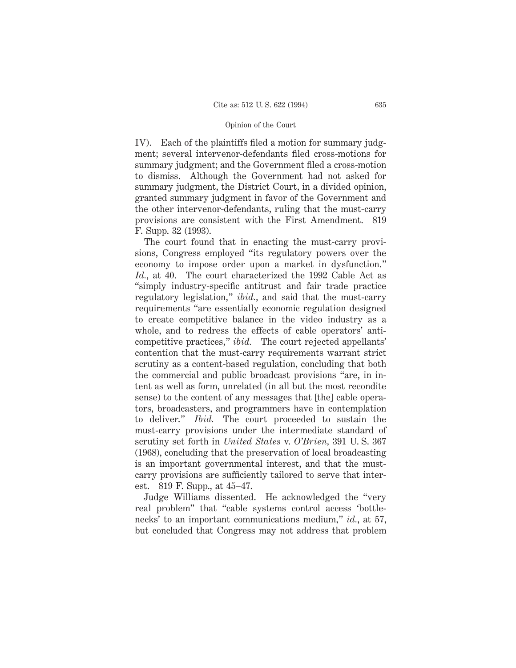IV). Each of the plaintiffs filed a motion for summary judgment; several intervenor-defendants filed cross-motions for summary judgment; and the Government filed a cross-motion to dismiss. Although the Government had not asked for summary judgment, the District Court, in a divided opinion, granted summary judgment in favor of the Government and the other intervenor-defendants, ruling that the must-carry provisions are consistent with the First Amendment. 819 F. Supp. 32 (1993).

The court found that in enacting the must-carry provisions, Congress employed "its regulatory powers over the economy to impose order upon a market in dysfunction." *Id.*, at 40. The court characterized the 1992 Cable Act as "simply industry-specific antitrust and fair trade practice regulatory legislation," *ibid.*, and said that the must-carry requirements "are essentially economic regulation designed to create competitive balance in the video industry as a whole, and to redress the effects of cable operators' anticompetitive practices," *ibid.* The court rejected appellants' contention that the must-carry requirements warrant strict scrutiny as a content-based regulation, concluding that both the commercial and public broadcast provisions "are, in intent as well as form, unrelated (in all but the most recondite sense) to the content of any messages that [the] cable operators, broadcasters, and programmers have in contemplation to deliver." *Ibid.* The court proceeded to sustain the must-carry provisions under the intermediate standard of scrutiny set forth in *United States* v. *O'Brien,* 391 U. S. 367 (1968), concluding that the preservation of local broadcasting is an important governmental interest, and that the mustcarry provisions are sufficiently tailored to serve that interest. 819 F. Supp., at 45–47.

Judge Williams dissented. He acknowledged the "very real problem" that "cable systems control access 'bottlenecks' to an important communications medium," *id.*, at 57, but concluded that Congress may not address that problem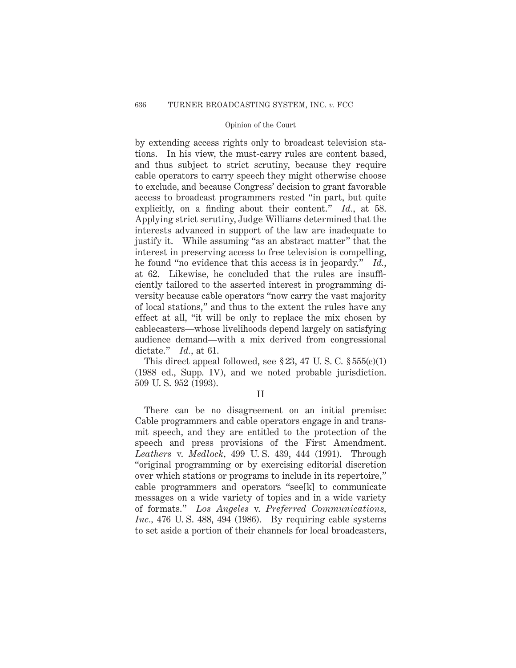by extending access rights only to broadcast television stations. In his view, the must-carry rules are content based, and thus subject to strict scrutiny, because they require cable operators to carry speech they might otherwise choose to exclude, and because Congress' decision to grant favorable access to broadcast programmers rested "in part, but quite explicitly, on a finding about their content." *Id.*, at 58. Applying strict scrutiny, Judge Williams determined that the interests advanced in support of the law are inadequate to justify it. While assuming "as an abstract matter" that the interest in preserving access to free television is compelling, he found "no evidence that this access is in jeopardy." *Id.*, at 62. Likewise, he concluded that the rules are insufficiently tailored to the asserted interest in programming diversity because cable operators "now carry the vast majority of local stations," and thus to the extent the rules have any effect at all, "it will be only to replace the mix chosen by cablecasters—whose livelihoods depend largely on satisfying audience demand—with a mix derived from congressional dictate." *Id.*, at 61.

This direct appeal followed, see  $\S 23$ , 47 U.S.C.  $\S 555(c)(1)$ (1988 ed., Supp. IV), and we noted probable jurisdiction. 509 U. S. 952 (1993).

II

There can be no disagreement on an initial premise: Cable programmers and cable operators engage in and transmit speech, and they are entitled to the protection of the speech and press provisions of the First Amendment. *Leathers* v. *Medlock,* 499 U. S. 439, 444 (1991). Through "original programming or by exercising editorial discretion over which stations or programs to include in its repertoire," cable programmers and operators "see[k] to communicate messages on a wide variety of topics and in a wide variety of formats." *Los Angeles* v. *Preferred Communications, Inc.,* 476 U. S. 488, 494 (1986). By requiring cable systems to set aside a portion of their channels for local broadcasters,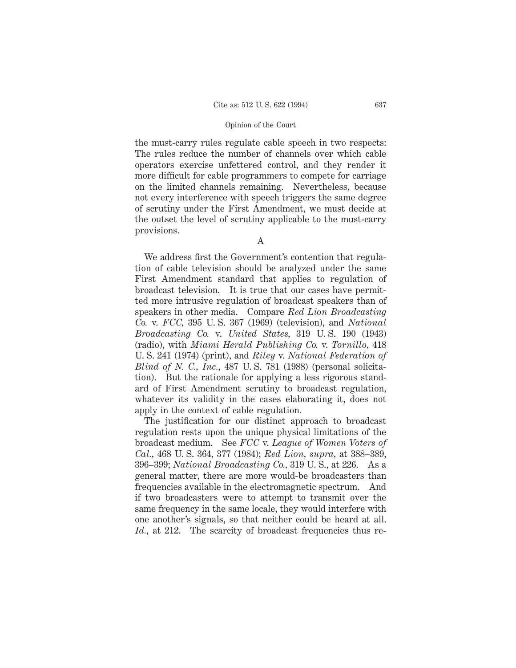the must-carry rules regulate cable speech in two respects: The rules reduce the number of channels over which cable operators exercise unfettered control, and they render it more difficult for cable programmers to compete for carriage on the limited channels remaining. Nevertheless, because not every interference with speech triggers the same degree of scrutiny under the First Amendment, we must decide at the outset the level of scrutiny applicable to the must-carry provisions.

We address first the Government's contention that regulation of cable television should be analyzed under the same First Amendment standard that applies to regulation of broadcast television. It is true that our cases have permitted more intrusive regulation of broadcast speakers than of speakers in other media. Compare *Red Lion Broadcasting Co.* v. *FCC,* 395 U. S. 367 (1969) (television), and *National Broadcasting Co.* v. *United States,* 319 U. S. 190 (1943) (radio), with *Miami Herald Publishing Co.* v. *Tornillo,* 418 U. S. 241 (1974) (print), and *Riley* v. *National Federation of Blind of N. C., Inc.,* 487 U. S. 781 (1988) (personal solicitation). But the rationale for applying a less rigorous standard of First Amendment scrutiny to broadcast regulation, whatever its validity in the cases elaborating it, does not apply in the context of cable regulation.

The justification for our distinct approach to broadcast regulation rests upon the unique physical limitations of the broadcast medium. See *FCC* v. *League of Women Voters of Cal.,* 468 U. S. 364, 377 (1984); *Red Lion, supra,* at 388–389, 396–399; *National Broadcasting Co.,* 319 U. S., at 226. As a general matter, there are more would-be broadcasters than frequencies available in the electromagnetic spectrum. And if two broadcasters were to attempt to transmit over the same frequency in the same locale, they would interfere with one another's signals, so that neither could be heard at all. Id., at 212. The scarcity of broadcast frequencies thus re-

A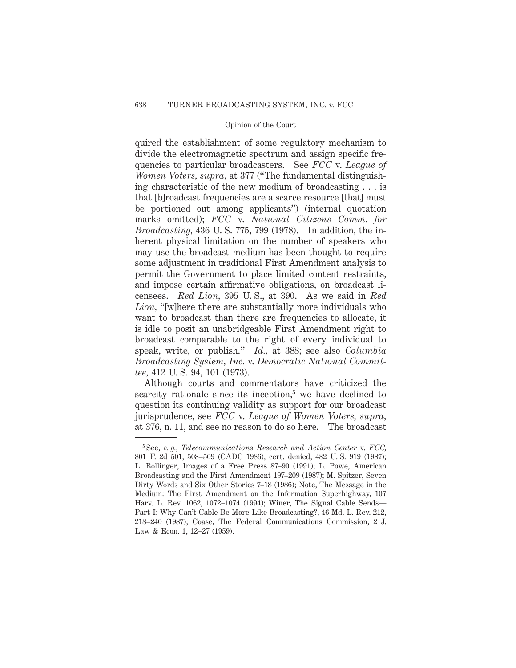quired the establishment of some regulatory mechanism to divide the electromagnetic spectrum and assign specific frequencies to particular broadcasters. See *FCC* v. *League of Women Voters, supra,* at 377 ("The fundamental distinguishing characteristic of the new medium of broadcasting . . . is that [b]roadcast frequencies are a scarce resource [that] must be portioned out among applicants") (internal quotation marks omitted); *FCC* v. *National Citizens Comm. for Broadcasting,* 436 U. S. 775, 799 (1978). In addition, the inherent physical limitation on the number of speakers who may use the broadcast medium has been thought to require some adjustment in traditional First Amendment analysis to permit the Government to place limited content restraints, and impose certain affirmative obligations, on broadcast licensees. *Red Lion,* 395 U. S., at 390. As we said in *Red Lion,* "[w]here there are substantially more individuals who want to broadcast than there are frequencies to allocate, it is idle to posit an unabridgeable First Amendment right to broadcast comparable to the right of every individual to speak, write, or publish." *Id.,* at 388; see also *Columbia Broadcasting System, Inc.* v. *Democratic National Committee,* 412 U. S. 94, 101 (1973).

Although courts and commentators have criticized the scarcity rationale since its inception,<sup>5</sup> we have declined to question its continuing validity as support for our broadcast jurisprudence, see *FCC* v. *League of Women Voters, supra,* at 376, n. 11, and see no reason to do so here. The broadcast

<sup>5</sup> See, *e. g., Telecommunications Research and Action Center* v. *FCC,* 801 F. 2d 501, 508–509 (CADC 1986), cert. denied, 482 U. S. 919 (1987); L. Bollinger, Images of a Free Press 87–90 (1991); L. Powe, American Broadcasting and the First Amendment 197–209 (1987); M. Spitzer, Seven Dirty Words and Six Other Stories 7–18 (1986); Note, The Message in the Medium: The First Amendment on the Information Superhighway, 107 Harv. L. Rev. 1062, 1072–1074 (1994); Winer, The Signal Cable Sends— Part I: Why Can't Cable Be More Like Broadcasting?, 46 Md. L. Rev. 212, 218–240 (1987); Coase, The Federal Communications Commission, 2 J. Law & Econ. 1, 12–27 (1959).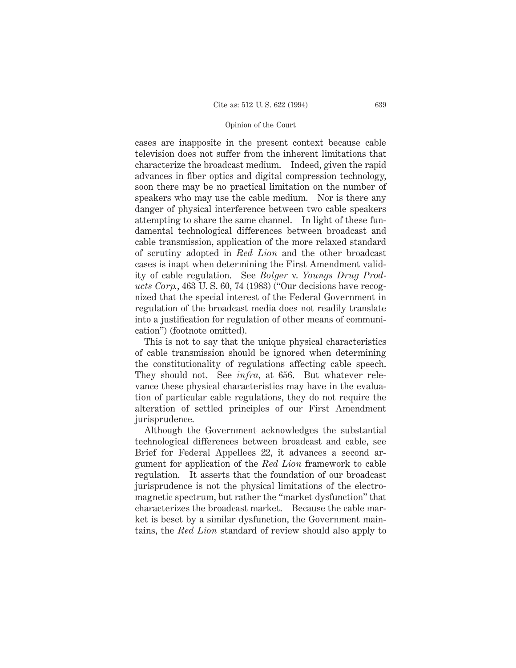cases are inapposite in the present context because cable television does not suffer from the inherent limitations that characterize the broadcast medium. Indeed, given the rapid advances in fiber optics and digital compression technology, soon there may be no practical limitation on the number of speakers who may use the cable medium. Nor is there any danger of physical interference between two cable speakers attempting to share the same channel. In light of these fundamental technological differences between broadcast and cable transmission, application of the more relaxed standard of scrutiny adopted in *Red Lion* and the other broadcast cases is inapt when determining the First Amendment validity of cable regulation. See *Bolger* v. *Youngs Drug Products Corp.*, 463 U. S. 60, 74 (1983) ("Our decisions have recognized that the special interest of the Federal Government in regulation of the broadcast media does not readily translate into a justification for regulation of other means of communication") (footnote omitted).

This is not to say that the unique physical characteristics of cable transmission should be ignored when determining the constitutionality of regulations affecting cable speech. They should not. See *infra,* at 656. But whatever relevance these physical characteristics may have in the evaluation of particular cable regulations, they do not require the alteration of settled principles of our First Amendment jurisprudence.

Although the Government acknowledges the substantial technological differences between broadcast and cable, see Brief for Federal Appellees 22, it advances a second argument for application of the *Red Lion* framework to cable regulation. It asserts that the foundation of our broadcast jurisprudence is not the physical limitations of the electromagnetic spectrum, but rather the "market dysfunction" that characterizes the broadcast market. Because the cable market is beset by a similar dysfunction, the Government maintains, the *Red Lion* standard of review should also apply to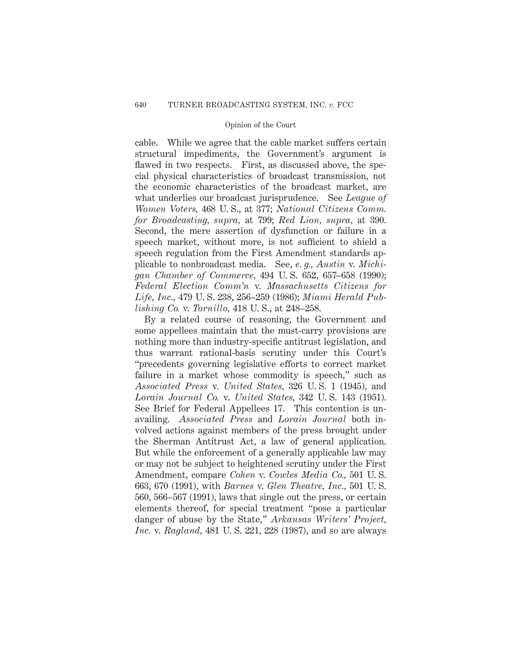cable. While we agree that the cable market suffers certain structural impediments, the Government's argument is flawed in two respects. First, as discussed above, the special physical characteristics of broadcast transmission, not the economic characteristics of the broadcast market, are what underlies our broadcast jurisprudence. See *League of Women Voters,* 468 U. S., at 377; *National Citizens Comm. for Broadcasting, supra,* at 799; *Red Lion, supra,* at 390. Second, the mere assertion of dysfunction or failure in a speech market, without more, is not sufficient to shield a speech regulation from the First Amendment standards applicable to nonbroadcast media. See, *e. g., Austin* v. *Michigan Chamber of Commerce,* 494 U. S. 652, 657–658 (1990); *Federal Election Comm'n* v. *Massachusetts Citizens for Life, Inc.,* 479 U. S. 238, 256–259 (1986); *Miami Herald Publishing Co.* v. *Tornillo,* 418 U. S., at 248–258.

By a related course of reasoning, the Government and some appellees maintain that the must-carry provisions are nothing more than industry-specific antitrust legislation, and thus warrant rational-basis scrutiny under this Court's "precedents governing legislative efforts to correct market failure in a market whose commodity is speech," such as *Associated Press* v. *United States,* 326 U. S. 1 (1945), and *Lorain Journal Co.* v. *United States,* 342 U. S. 143 (1951). See Brief for Federal Appellees 17. This contention is unavailing. *Associated Press* and *Lorain Journal* both involved actions against members of the press brought under the Sherman Antitrust Act, a law of general application. But while the enforcement of a generally applicable law may or may not be subject to heightened scrutiny under the First Amendment, compare *Cohen* v. *Cowles Media Co.,* 501 U. S. 663, 670 (1991), with *Barnes* v. *Glen Theatre, Inc.,* 501 U. S. 560, 566–567 (1991), laws that single out the press, or certain elements thereof, for special treatment "pose a particular danger of abuse by the State," *Arkansas Writers' Project, Inc.* v. *Ragland,* 481 U. S. 221, 228 (1987), and so are always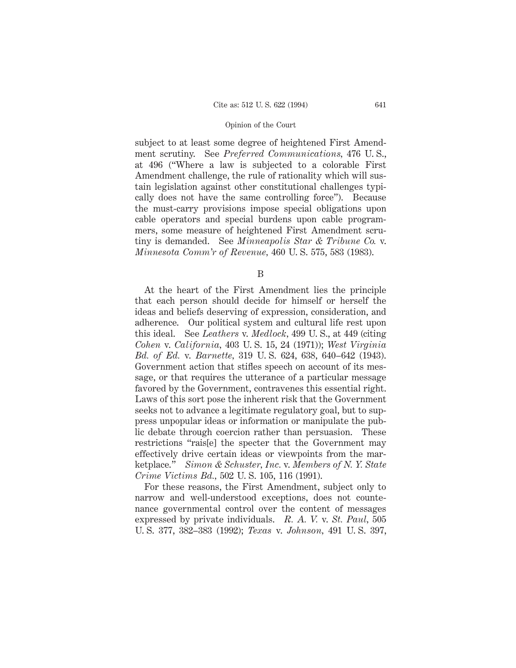subject to at least some degree of heightened First Amendment scrutiny. See *Preferred Communications,* 476 U. S., at 496 ("Where a law is subjected to a colorable First Amendment challenge, the rule of rationality which will sustain legislation against other constitutional challenges typically does not have the same controlling force"). Because the must-carry provisions impose special obligations upon cable operators and special burdens upon cable programmers, some measure of heightened First Amendment scrutiny is demanded. See *Minneapolis Star & Tribune Co.* v. *Minnesota Comm'r of Revenue,* 460 U. S. 575, 583 (1983).

B

At the heart of the First Amendment lies the principle that each person should decide for himself or herself the ideas and beliefs deserving of expression, consideration, and adherence. Our political system and cultural life rest upon this ideal. See *Leathers* v. *Medlock,* 499 U. S., at 449 (citing *Cohen* v. *California,* 403 U. S. 15, 24 (1971)); *West Virginia Bd. of Ed.* v. *Barnette,* 319 U. S. 624, 638, 640–642 (1943). Government action that stifles speech on account of its message, or that requires the utterance of a particular message favored by the Government, contravenes this essential right. Laws of this sort pose the inherent risk that the Government seeks not to advance a legitimate regulatory goal, but to suppress unpopular ideas or information or manipulate the public debate through coercion rather than persuasion. These restrictions "rais[e] the specter that the Government may effectively drive certain ideas or viewpoints from the marketplace." *Simon & Schuster, Inc.* v. *Members of N. Y. State Crime Victims Bd.,* 502 U. S. 105, 116 (1991).

For these reasons, the First Amendment, subject only to narrow and well-understood exceptions, does not countenance governmental control over the content of messages expressed by private individuals. *R. A. V.* v. *St. Paul,* 505 U. S. 377, 382–383 (1992); *Texas* v. *Johnson,* 491 U. S. 397,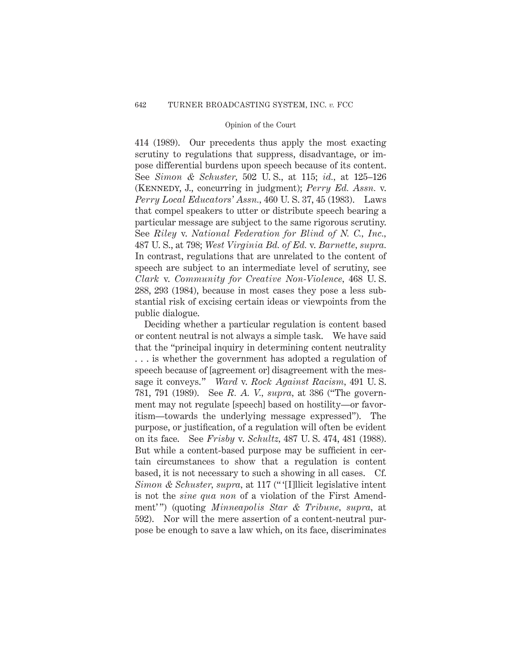414 (1989). Our precedents thus apply the most exacting scrutiny to regulations that suppress, disadvantage, or impose differential burdens upon speech because of its content. See *Simon & Schuster,* 502 U. S., at 115; *id.,* at 125–126 (Kennedy, J., concurring in judgment); *Perry Ed. Assn.* v. *Perry Local Educators' Assn.,* 460 U. S. 37, 45 (1983). Laws that compel speakers to utter or distribute speech bearing a particular message are subject to the same rigorous scrutiny. See *Riley* v. *National Federation for Blind of N. C., Inc.,* 487 U. S., at 798; *West Virginia Bd. of Ed.* v. *Barnette, supra.* In contrast, regulations that are unrelated to the content of speech are subject to an intermediate level of scrutiny, see *Clark* v. *Community for Creative Non-Violence,* 468 U. S. 288, 293 (1984), because in most cases they pose a less substantial risk of excising certain ideas or viewpoints from the public dialogue.

Deciding whether a particular regulation is content based or content neutral is not always a simple task. We have said that the "principal inquiry in determining content neutrality . . . is whether the government has adopted a regulation of speech because of [agreement or] disagreement with the message it conveys." *Ward* v. *Rock Against Racism,* 491 U. S. 781, 791 (1989). See *R. A. V., supra,* at 386 ("The government may not regulate [speech] based on hostility—or favoritism—towards the underlying message expressed"). The purpose, or justification, of a regulation will often be evident on its face. See *Frisby* v. *Schultz,* 487 U. S. 474, 481 (1988). But while a content-based purpose may be sufficient in certain circumstances to show that a regulation is content based, it is not necessary to such a showing in all cases. Cf. *Simon & Schuster, supra,* at 117 (" '[I]llicit legislative intent is not the *sine qua non* of a violation of the First Amendment' ") (quoting *Minneapolis Star & Tribune, supra,* at 592). Nor will the mere assertion of a content-neutral purpose be enough to save a law which, on its face, discriminates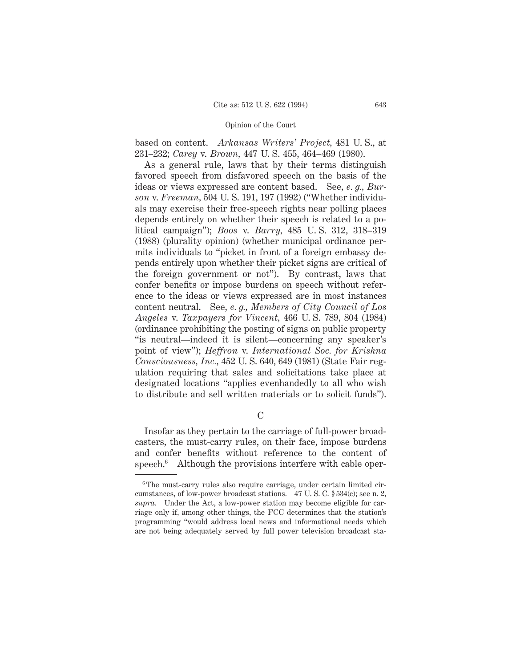based on content. *Arkansas Writers' Project,* 481 U. S., at 231–232; *Carey* v. *Brown,* 447 U. S. 455, 464–469 (1980).

As a general rule, laws that by their terms distinguish favored speech from disfavored speech on the basis of the ideas or views expressed are content based. See, *e. g., Burson* v. *Freeman,* 504 U. S. 191, 197 (1992) ("Whether individuals may exercise their free-speech rights near polling places depends entirely on whether their speech is related to a political campaign"); *Boos* v. *Barry,* 485 U. S. 312, 318–319 (1988) (plurality opinion) (whether municipal ordinance permits individuals to "picket in front of a foreign embassy depends entirely upon whether their picket signs are critical of the foreign government or not"). By contrast, laws that confer benefits or impose burdens on speech without reference to the ideas or views expressed are in most instances content neutral. See, *e. g., Members of City Council of Los Angeles* v. *Taxpayers for Vincent,* 466 U. S. 789, 804 (1984) (ordinance prohibiting the posting of signs on public property "is neutral—indeed it is silent—concerning any speaker's point of view"); *Heffron* v. *International Soc. for Krishna Consciousness, Inc.,* 452 U. S. 640, 649 (1981) (State Fair regulation requiring that sales and solicitations take place at designated locations "applies evenhandedly to all who wish to distribute and sell written materials or to solicit funds").

C

Insofar as they pertain to the carriage of full-power broadcasters, the must-carry rules, on their face, impose burdens and confer benefits without reference to the content of speech.<sup>6</sup> Although the provisions interfere with cable oper-

<sup>6</sup> The must-carry rules also require carriage, under certain limited circumstances, of low-power broadcast stations. 47 U. S. C. § 534(c); see n. 2, *supra.* Under the Act, a low-power station may become eligible for carriage only if, among other things, the FCC determines that the station's programming "would address local news and informational needs which are not being adequately served by full power television broadcast sta-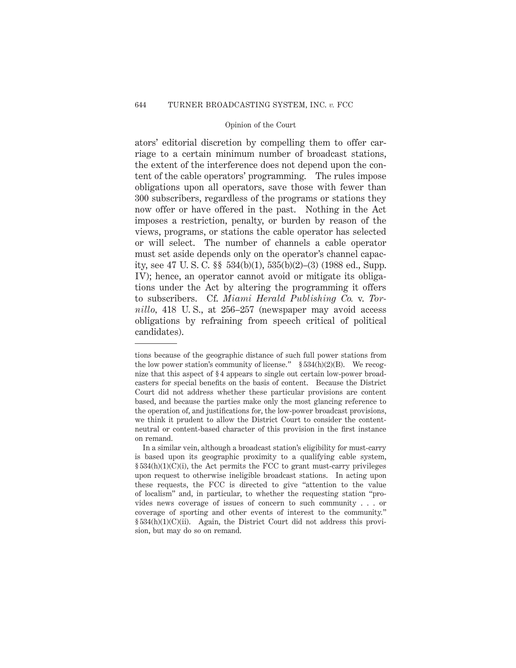ators' editorial discretion by compelling them to offer carriage to a certain minimum number of broadcast stations, the extent of the interference does not depend upon the content of the cable operators' programming. The rules impose obligations upon all operators, save those with fewer than 300 subscribers, regardless of the programs or stations they now offer or have offered in the past. Nothing in the Act imposes a restriction, penalty, or burden by reason of the views, programs, or stations the cable operator has selected or will select. The number of channels a cable operator must set aside depends only on the operator's channel capacity, see 47 U. S. C. §§ 534(b)(1), 535(b)(2)–(3) (1988 ed., Supp. IV); hence, an operator cannot avoid or mitigate its obligations under the Act by altering the programming it offers to subscribers. Cf. *Miami Herald Publishing Co.* v. *Tornillo,* 418 U. S., at 256–257 (newspaper may avoid access obligations by refraining from speech critical of political candidates).

tions because of the geographic distance of such full power stations from the low power station's community of license."  $\S 534(h)(2)(B)$ . We recognize that this aspect of § 4 appears to single out certain low-power broadcasters for special benefits on the basis of content. Because the District Court did not address whether these particular provisions are content based, and because the parties make only the most glancing reference to the operation of, and justifications for, the low-power broadcast provisions, we think it prudent to allow the District Court to consider the contentneutral or content-based character of this provision in the first instance on remand.

In a similar vein, although a broadcast station's eligibility for must-carry is based upon its geographic proximity to a qualifying cable system, § 534(h)(1)(C)(i), the Act permits the FCC to grant must-carry privileges upon request to otherwise ineligible broadcast stations. In acting upon these requests, the FCC is directed to give "attention to the value of localism" and, in particular, to whether the requesting station "provides news coverage of issues of concern to such community . . . or coverage of sporting and other events of interest to the community." § 534(h)(1)(C)(ii). Again, the District Court did not address this provision, but may do so on remand.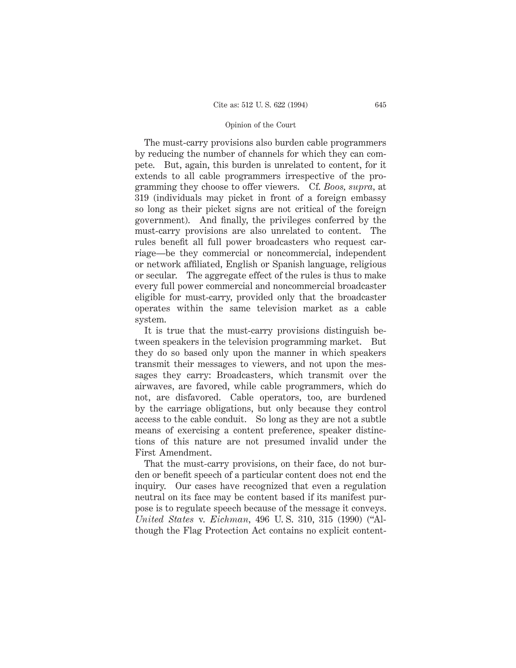The must-carry provisions also burden cable programmers by reducing the number of channels for which they can compete. But, again, this burden is unrelated to content, for it extends to all cable programmers irrespective of the programming they choose to offer viewers. Cf. *Boos, supra,* at 319 (individuals may picket in front of a foreign embassy so long as their picket signs are not critical of the foreign government). And finally, the privileges conferred by the must-carry provisions are also unrelated to content. The rules benefit all full power broadcasters who request carriage—be they commercial or noncommercial, independent or network affiliated, English or Spanish language, religious or secular. The aggregate effect of the rules is thus to make every full power commercial and noncommercial broadcaster eligible for must-carry, provided only that the broadcaster operates within the same television market as a cable system.

It is true that the must-carry provisions distinguish between speakers in the television programming market. But they do so based only upon the manner in which speakers transmit their messages to viewers, and not upon the messages they carry: Broadcasters, which transmit over the airwaves, are favored, while cable programmers, which do not, are disfavored. Cable operators, too, are burdened by the carriage obligations, but only because they control access to the cable conduit. So long as they are not a subtle means of exercising a content preference, speaker distinctions of this nature are not presumed invalid under the First Amendment.

That the must-carry provisions, on their face, do not burden or benefit speech of a particular content does not end the inquiry. Our cases have recognized that even a regulation neutral on its face may be content based if its manifest purpose is to regulate speech because of the message it conveys. *United States* v. *Eichman,* 496 U. S. 310, 315 (1990) ("Although the Flag Protection Act contains no explicit content-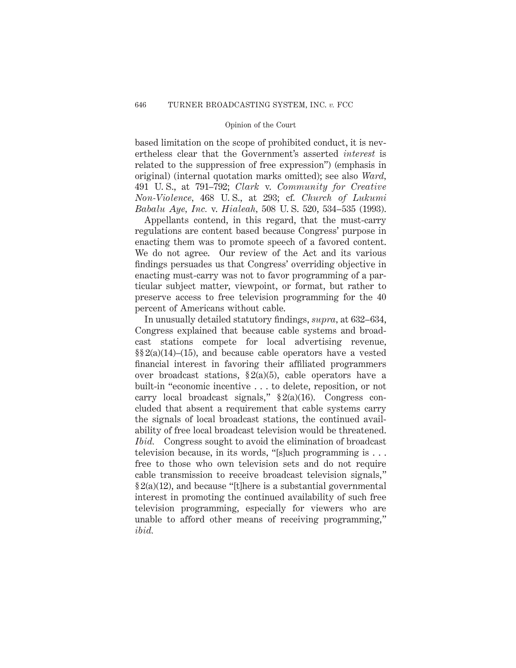based limitation on the scope of prohibited conduct, it is nevertheless clear that the Government's asserted *interest* is related to the suppression of free expression") (emphasis in original) (internal quotation marks omitted); see also *Ward,* 491 U. S., at 791–792; *Clark* v. *Community for Creative Non-Violence,* 468 U. S., at 293; cf. *Church of Lukumi Babalu Aye, Inc.* v. *Hialeah,* 508 U. S. 520, 534–535 (1993).

Appellants contend, in this regard, that the must-carry regulations are content based because Congress' purpose in enacting them was to promote speech of a favored content. We do not agree. Our review of the Act and its various findings persuades us that Congress' overriding objective in enacting must-carry was not to favor programming of a particular subject matter, viewpoint, or format, but rather to preserve access to free television programming for the 40 percent of Americans without cable.

In unusually detailed statutory findings, *supra,* at 632–634, Congress explained that because cable systems and broadcast stations compete for local advertising revenue,  $\S\S 2(a)(14)$ –(15), and because cable operators have a vested financial interest in favoring their affiliated programmers over broadcast stations,  $\S2(a)(5)$ , cable operators have a built-in "economic incentive . . . to delete, reposition, or not carry local broadcast signals," § 2(a)(16). Congress concluded that absent a requirement that cable systems carry the signals of local broadcast stations, the continued availability of free local broadcast television would be threatened. *Ibid.* Congress sought to avoid the elimination of broadcast television because, in its words, "[s]uch programming is . . . free to those who own television sets and do not require cable transmission to receive broadcast television signals," § 2(a)(12), and because "[t]here is a substantial governmental interest in promoting the continued availability of such free television programming, especially for viewers who are unable to afford other means of receiving programming," *ibid.*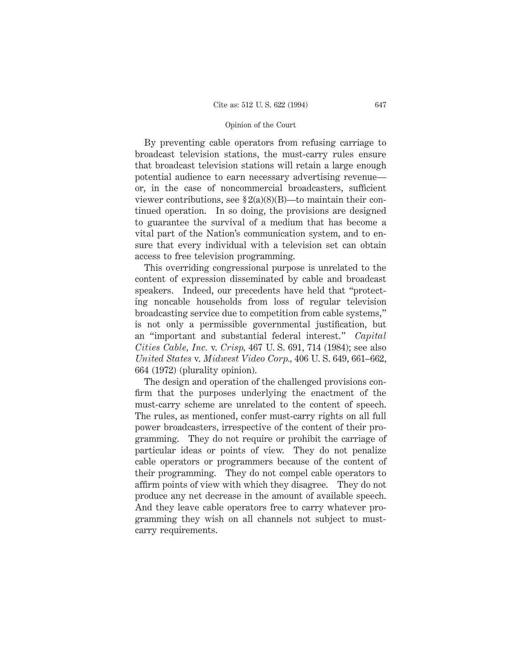By preventing cable operators from refusing carriage to broadcast television stations, the must-carry rules ensure that broadcast television stations will retain a large enough potential audience to earn necessary advertising revenue or, in the case of noncommercial broadcasters, sufficient viewer contributions, see  $\S 2(a)(8)(B)$ —to maintain their continued operation. In so doing, the provisions are designed to guarantee the survival of a medium that has become a vital part of the Nation's communication system, and to ensure that every individual with a television set can obtain access to free television programming.

This overriding congressional purpose is unrelated to the content of expression disseminated by cable and broadcast speakers. Indeed, our precedents have held that "protecting noncable households from loss of regular television broadcasting service due to competition from cable systems," is not only a permissible governmental justification, but an "important and substantial federal interest." *Capital Cities Cable, Inc.* v. *Crisp,* 467 U. S. 691, 714 (1984); see also *United States* v. *Midwest Video Corp.,* 406 U. S. 649, 661–662, 664 (1972) (plurality opinion).

The design and operation of the challenged provisions confirm that the purposes underlying the enactment of the must-carry scheme are unrelated to the content of speech. The rules, as mentioned, confer must-carry rights on all full power broadcasters, irrespective of the content of their programming. They do not require or prohibit the carriage of particular ideas or points of view. They do not penalize cable operators or programmers because of the content of their programming. They do not compel cable operators to affirm points of view with which they disagree. They do not produce any net decrease in the amount of available speech. And they leave cable operators free to carry whatever programming they wish on all channels not subject to mustcarry requirements.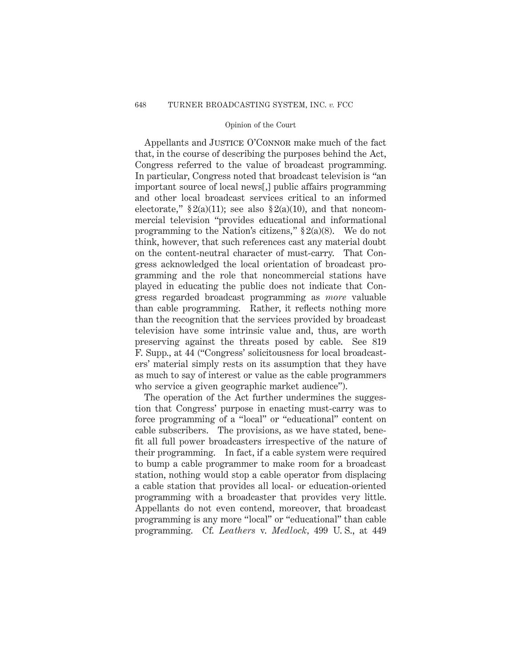Appellants and Justice O'Connor make much of the fact that, in the course of describing the purposes behind the Act, Congress referred to the value of broadcast programming. In particular, Congress noted that broadcast television is "an important source of local news[,] public affairs programming and other local broadcast services critical to an informed electorate,"  $\S 2(a)(11)$ ; see also  $\S 2(a)(10)$ , and that noncommercial television "provides educational and informational programming to the Nation's citizens,"  $\S 2(a)(8)$ . We do not think, however, that such references cast any material doubt on the content-neutral character of must-carry. That Congress acknowledged the local orientation of broadcast programming and the role that noncommercial stations have played in educating the public does not indicate that Congress regarded broadcast programming as *more* valuable than cable programming. Rather, it reflects nothing more than the recognition that the services provided by broadcast television have some intrinsic value and, thus, are worth preserving against the threats posed by cable. See 819 F. Supp., at 44 ("Congress' solicitousness for local broadcasters' material simply rests on its assumption that they have as much to say of interest or value as the cable programmers who service a given geographic market audience".

The operation of the Act further undermines the suggestion that Congress' purpose in enacting must-carry was to force programming of a "local" or "educational" content on cable subscribers. The provisions, as we have stated, benefit all full power broadcasters irrespective of the nature of their programming. In fact, if a cable system were required to bump a cable programmer to make room for a broadcast station, nothing would stop a cable operator from displacing a cable station that provides all local- or education-oriented programming with a broadcaster that provides very little. Appellants do not even contend, moreover, that broadcast programming is any more "local" or "educational" than cable programming. Cf. *Leathers* v. *Medlock,* 499 U. S., at 449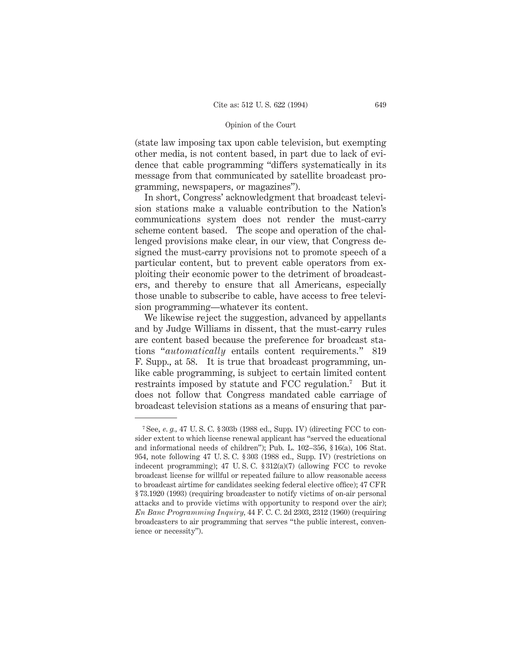(state law imposing tax upon cable television, but exempting other media, is not content based, in part due to lack of evidence that cable programming "differs systematically in its message from that communicated by satellite broadcast programming, newspapers, or magazines").

In short, Congress' acknowledgment that broadcast television stations make a valuable contribution to the Nation's communications system does not render the must-carry scheme content based. The scope and operation of the challenged provisions make clear, in our view, that Congress designed the must-carry provisions not to promote speech of a particular content, but to prevent cable operators from exploiting their economic power to the detriment of broadcasters, and thereby to ensure that all Americans, especially those unable to subscribe to cable, have access to free television programming—whatever its content.

We likewise reject the suggestion, advanced by appellants and by Judge Williams in dissent, that the must-carry rules are content based because the preference for broadcast stations "*automatically* entails content requirements." 819 F. Supp., at 58. It is true that broadcast programming, unlike cable programming, is subject to certain limited content restraints imposed by statute and FCC regulation.7 But it does not follow that Congress mandated cable carriage of broadcast television stations as a means of ensuring that par-

<sup>7</sup> See, *e. g.,* 47 U. S. C. § 303b (1988 ed., Supp. IV) (directing FCC to consider extent to which license renewal applicant has "served the educational and informational needs of children"); Pub. L. 102–356, § 16(a), 106 Stat. 954, note following 47 U. S. C. § 303 (1988 ed., Supp. IV) (restrictions on indecent programming); 47 U. S. C. § 312(a)(7) (allowing FCC to revoke broadcast license for willful or repeated failure to allow reasonable access to broadcast airtime for candidates seeking federal elective office); 47 CFR § 73.1920 (1993) (requiring broadcaster to notify victims of on-air personal attacks and to provide victims with opportunity to respond over the air); *En Banc Programming Inquiry,* 44 F. C. C. 2d 2303, 2312 (1960) (requiring broadcasters to air programming that serves "the public interest, convenience or necessity").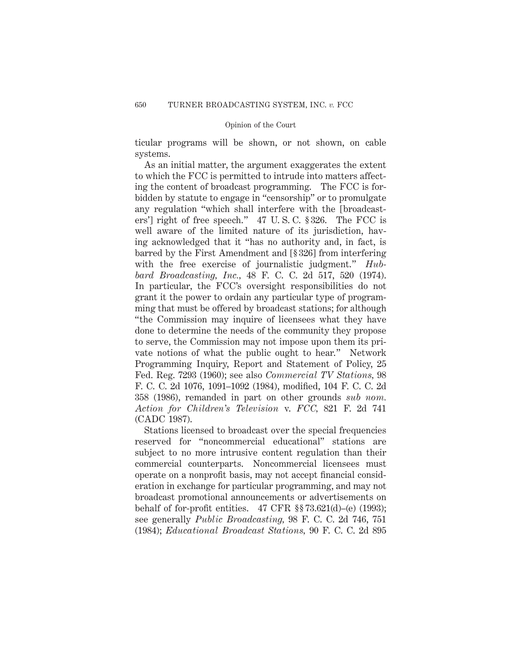ticular programs will be shown, or not shown, on cable systems.

As an initial matter, the argument exaggerates the extent to which the FCC is permitted to intrude into matters affecting the content of broadcast programming. The FCC is forbidden by statute to engage in "censorship" or to promulgate any regulation "which shall interfere with the [broadcasters'] right of free speech." 47 U. S. C. § 326. The FCC is well aware of the limited nature of its jurisdiction, having acknowledged that it "has no authority and, in fact, is barred by the First Amendment and [§ 326] from interfering with the free exercise of journalistic judgment." *Hubbard Broadcasting, Inc.,* 48 F. C. C. 2d 517, 520 (1974). In particular, the FCC's oversight responsibilities do not grant it the power to ordain any particular type of programming that must be offered by broadcast stations; for although "the Commission may inquire of licensees what they have done to determine the needs of the community they propose to serve, the Commission may not impose upon them its private notions of what the public ought to hear." Network Programming Inquiry, Report and Statement of Policy, 25 Fed. Reg. 7293 (1960); see also *Commercial TV Stations,* 98 F. C. C. 2d 1076, 1091–1092 (1984), modified, 104 F. C. C. 2d 358 (1986), remanded in part on other grounds *sub nom. Action for Children's Television* v. *FCC,* 821 F. 2d 741 (CADC 1987).

Stations licensed to broadcast over the special frequencies reserved for "noncommercial educational" stations are subject to no more intrusive content regulation than their commercial counterparts. Noncommercial licensees must operate on a nonprofit basis, may not accept financial consideration in exchange for particular programming, and may not broadcast promotional announcements or advertisements on behalf of for-profit entities.  $47 \text{ CFR }$  §§  $73.621(d)$ –(e) (1993); see generally *Public Broadcasting,* 98 F. C. C. 2d 746, 751 (1984); *Educational Broadcast Stations,* 90 F. C. C. 2d 895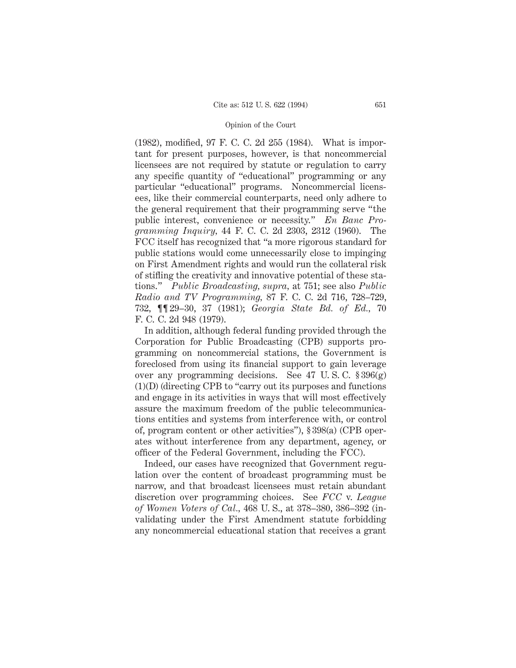(1982), modified, 97 F. C. C. 2d 255 (1984). What is important for present purposes, however, is that noncommercial licensees are not required by statute or regulation to carry any specific quantity of "educational" programming or any particular "educational" programs. Noncommercial licensees, like their commercial counterparts, need only adhere to the general requirement that their programming serve "the public interest, convenience or necessity." *En Banc Programming Inquiry,* 44 F. C. C. 2d 2303, 2312 (1960). The FCC itself has recognized that "a more rigorous standard for public stations would come unnecessarily close to impinging on First Amendment rights and would run the collateral risk of stifling the creativity and innovative potential of these stations." *Public Broadcasting, supra,* at 751; see also *Public Radio and TV Programming,* 87 F. C. C. 2d 716, 728–729, 732, ¶¶ 29–30, 37 (1981); *Georgia State Bd. of Ed.,* 70 F. C. C. 2d 948 (1979).

In addition, although federal funding provided through the Corporation for Public Broadcasting (CPB) supports programming on noncommercial stations, the Government is foreclosed from using its financial support to gain leverage over any programming decisions. See 47 U. S. C. § 396(g) (1)(D) (directing CPB to "carry out its purposes and functions and engage in its activities in ways that will most effectively assure the maximum freedom of the public telecommunications entities and systems from interference with, or control of, program content or other activities"), § 398(a) (CPB operates without interference from any department, agency, or officer of the Federal Government, including the FCC).

Indeed, our cases have recognized that Government regulation over the content of broadcast programming must be narrow, and that broadcast licensees must retain abundant discretion over programming choices. See *FCC* v. *League of Women Voters of Cal.,* 468 U. S., at 378–380, 386–392 (invalidating under the First Amendment statute forbidding any noncommercial educational station that receives a grant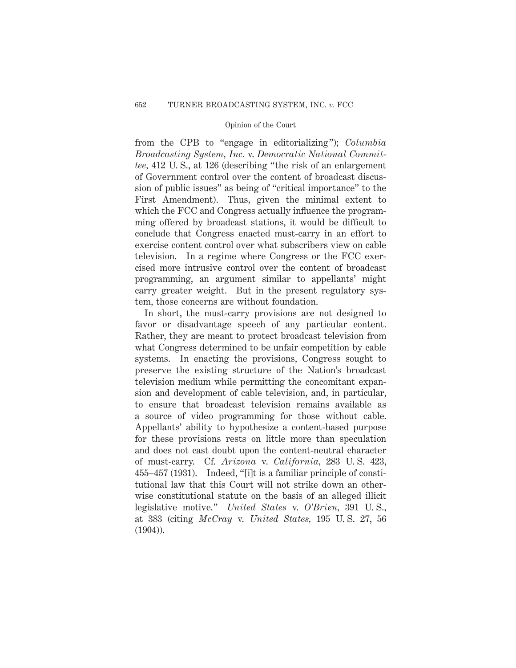from the CPB to "engage in editorializing"); *Columbia Broadcasting System, Inc.* v. *Democratic National Committee,* 412 U. S., at 126 (describing "the risk of an enlargement of Government control over the content of broadcast discussion of public issues" as being of "critical importance" to the First Amendment). Thus, given the minimal extent to which the FCC and Congress actually influence the programming offered by broadcast stations, it would be difficult to conclude that Congress enacted must-carry in an effort to exercise content control over what subscribers view on cable television. In a regime where Congress or the FCC exercised more intrusive control over the content of broadcast programming, an argument similar to appellants' might carry greater weight. But in the present regulatory system, those concerns are without foundation.

In short, the must-carry provisions are not designed to favor or disadvantage speech of any particular content. Rather, they are meant to protect broadcast television from what Congress determined to be unfair competition by cable systems. In enacting the provisions, Congress sought to preserve the existing structure of the Nation's broadcast television medium while permitting the concomitant expansion and development of cable television, and, in particular, to ensure that broadcast television remains available as a source of video programming for those without cable. Appellants' ability to hypothesize a content-based purpose for these provisions rests on little more than speculation and does not cast doubt upon the content-neutral character of must-carry. Cf. *Arizona* v. *California,* 283 U. S. 423, 455–457 (1931). Indeed, "[i]t is a familiar principle of constitutional law that this Court will not strike down an otherwise constitutional statute on the basis of an alleged illicit legislative motive." *United States* v. *O'Brien,* 391 U. S., at 383 (citing *McCray* v. *United States,* 195 U. S. 27, 56  $(1904)$ ).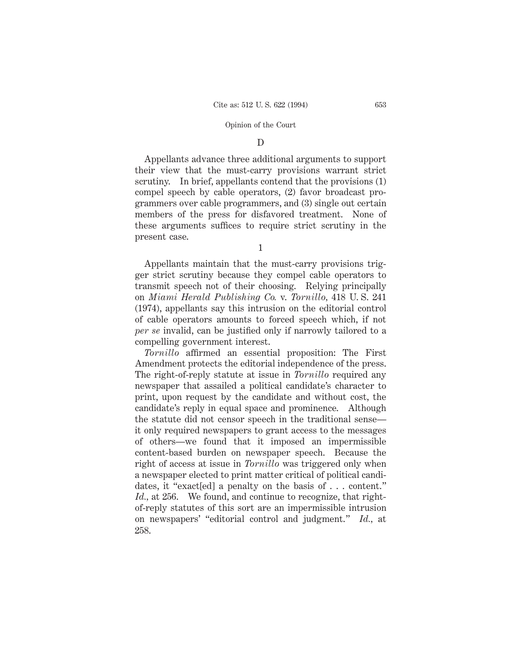### D

Appellants advance three additional arguments to support their view that the must-carry provisions warrant strict scrutiny. In brief, appellants contend that the provisions (1) compel speech by cable operators, (2) favor broadcast programmers over cable programmers, and (3) single out certain members of the press for disfavored treatment. None of these arguments suffices to require strict scrutiny in the present case.

1

Appellants maintain that the must-carry provisions trigger strict scrutiny because they compel cable operators to transmit speech not of their choosing. Relying principally on *Miami Herald Publishing Co.* v. *Tornillo,* 418 U. S. 241 (1974), appellants say this intrusion on the editorial control of cable operators amounts to forced speech which, if not *per se* invalid, can be justified only if narrowly tailored to a compelling government interest.

*Tornillo* affirmed an essential proposition: The First Amendment protects the editorial independence of the press. The right-of-reply statute at issue in *Tornillo* required any newspaper that assailed a political candidate's character to print, upon request by the candidate and without cost, the candidate's reply in equal space and prominence. Although the statute did not censor speech in the traditional sense it only required newspapers to grant access to the messages of others—we found that it imposed an impermissible content-based burden on newspaper speech. Because the right of access at issue in *Tornillo* was triggered only when a newspaper elected to print matter critical of political candidates, it "exact[ed] a penalty on the basis of . . . content." *Id.,* at 256. We found, and continue to recognize, that rightof-reply statutes of this sort are an impermissible intrusion on newspapers' "editorial control and judgment." *Id.,* at 258.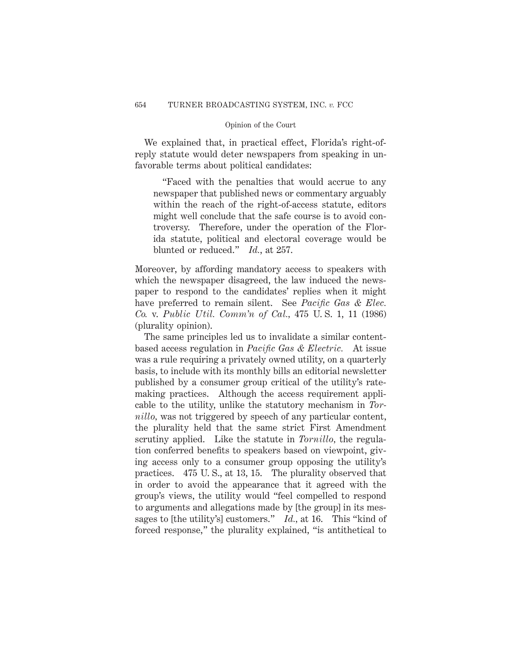We explained that, in practical effect, Florida's right-ofreply statute would deter newspapers from speaking in unfavorable terms about political candidates:

"Faced with the penalties that would accrue to any newspaper that published news or commentary arguably within the reach of the right-of-access statute, editors might well conclude that the safe course is to avoid controversy. Therefore, under the operation of the Florida statute, political and electoral coverage would be blunted or reduced." *Id.*, at 257.

Moreover, by affording mandatory access to speakers with which the newspaper disagreed, the law induced the newspaper to respond to the candidates' replies when it might have preferred to remain silent. See *Pacific Gas & Elec. Co.* v. *Public Util. Comm'n of Cal.,* 475 U. S. 1, 11 (1986) (plurality opinion).

The same principles led us to invalidate a similar contentbased access regulation in *Pacific Gas & Electric.* At issue was a rule requiring a privately owned utility, on a quarterly basis, to include with its monthly bills an editorial newsletter published by a consumer group critical of the utility's ratemaking practices. Although the access requirement applicable to the utility, unlike the statutory mechanism in *Tornillo,* was not triggered by speech of any particular content, the plurality held that the same strict First Amendment scrutiny applied. Like the statute in *Tornillo,* the regulation conferred benefits to speakers based on viewpoint, giving access only to a consumer group opposing the utility's practices. 475 U. S., at 13, 15. The plurality observed that in order to avoid the appearance that it agreed with the group's views, the utility would "feel compelled to respond to arguments and allegations made by [the group] in its messages to [the utility's] customers." *Id.,* at 16. This "kind of forced response," the plurality explained, "is antithetical to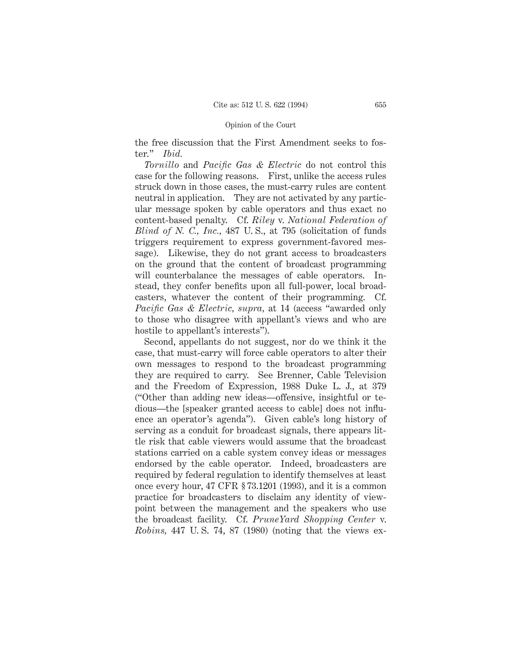the free discussion that the First Amendment seeks to foster." *Ibid.*

*Tornillo* and *Pacific Gas & Electric* do not control this case for the following reasons. First, unlike the access rules struck down in those cases, the must-carry rules are content neutral in application. They are not activated by any particular message spoken by cable operators and thus exact no content-based penalty. Cf. *Riley* v. *National Federation of Blind of N. C., Inc.,* 487 U. S., at 795 (solicitation of funds triggers requirement to express government-favored message). Likewise, they do not grant access to broadcasters on the ground that the content of broadcast programming will counterbalance the messages of cable operators. Instead, they confer benefits upon all full-power, local broadcasters, whatever the content of their programming. Cf. *Pacific Gas & Electric, supra,* at 14 (access "awarded only to those who disagree with appellant's views and who are hostile to appellant's interests".

Second, appellants do not suggest, nor do we think it the case, that must-carry will force cable operators to alter their own messages to respond to the broadcast programming they are required to carry. See Brenner, Cable Television and the Freedom of Expression, 1988 Duke L. J., at 379 ("Other than adding new ideas—offensive, insightful or tedious—the [speaker granted access to cable] does not influence an operator's agenda"). Given cable's long history of serving as a conduit for broadcast signals, there appears little risk that cable viewers would assume that the broadcast stations carried on a cable system convey ideas or messages endorsed by the cable operator. Indeed, broadcasters are required by federal regulation to identify themselves at least once every hour, 47 CFR § 73.1201 (1993), and it is a common practice for broadcasters to disclaim any identity of viewpoint between the management and the speakers who use the broadcast facility. Cf. *PruneYard Shopping Center* v. *Robins,* 447 U. S. 74, 87 (1980) (noting that the views ex-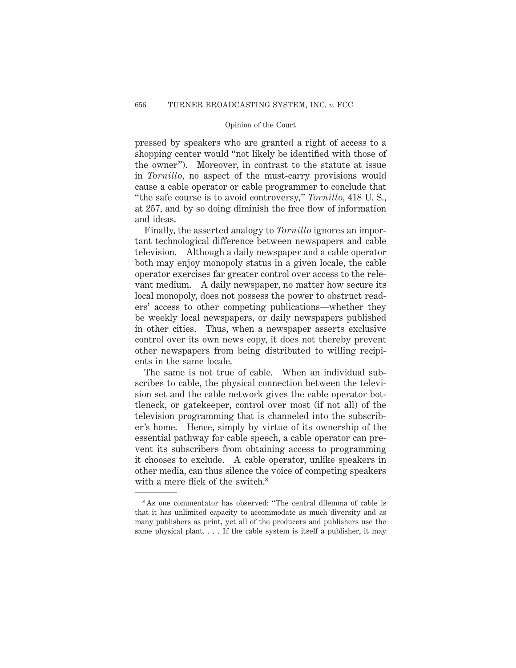pressed by speakers who are granted a right of access to a shopping center would "not likely be identified with those of the owner"). Moreover, in contrast to the statute at issue in *Tornillo,* no aspect of the must-carry provisions would cause a cable operator or cable programmer to conclude that "the safe course is to avoid controversy," *Tornillo,* 418 U. S., at 257, and by so doing diminish the free flow of information and ideas.

Finally, the asserted analogy to *Tornillo* ignores an important technological difference between newspapers and cable television. Although a daily newspaper and a cable operator both may enjoy monopoly status in a given locale, the cable operator exercises far greater control over access to the relevant medium. A daily newspaper, no matter how secure its local monopoly, does not possess the power to obstruct readers' access to other competing publications—whether they be weekly local newspapers, or daily newspapers published in other cities. Thus, when a newspaper asserts exclusive control over its own news copy, it does not thereby prevent other newspapers from being distributed to willing recipients in the same locale.

The same is not true of cable. When an individual subscribes to cable, the physical connection between the television set and the cable network gives the cable operator bottleneck, or gatekeeper, control over most (if not all) of the television programming that is channeled into the subscriber's home. Hence, simply by virtue of its ownership of the essential pathway for cable speech, a cable operator can prevent its subscribers from obtaining access to programming it chooses to exclude. A cable operator, unlike speakers in other media, can thus silence the voice of competing speakers with a mere flick of the switch.<sup>8</sup>

<sup>8</sup> As one commentator has observed: "The central dilemma of cable is that it has unlimited capacity to accommodate as much diversity and as many publishers as print, yet all of the producers and publishers use the same physical plant. . . . If the cable system is itself a publisher, it may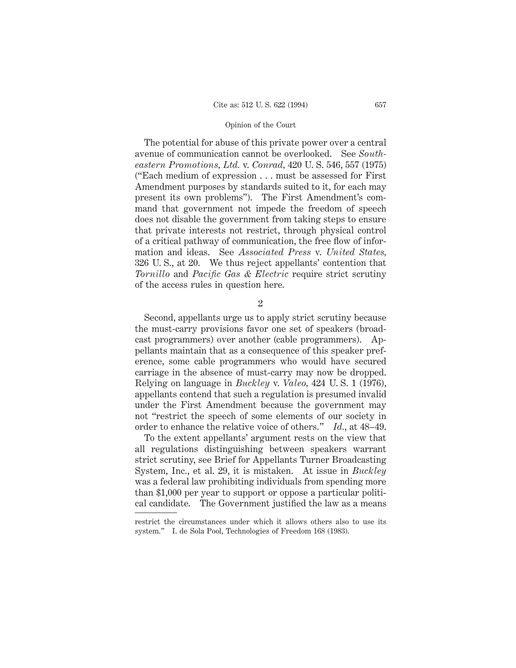The potential for abuse of this private power over a central avenue of communication cannot be overlooked. See *Southeastern Promotions, Ltd.* v. *Conrad,* 420 U. S. 546, 557 (1975) ("Each medium of expression . . . must be assessed for First Amendment purposes by standards suited to it, for each may present its own problems"). The First Amendment's command that government not impede the freedom of speech does not disable the government from taking steps to ensure that private interests not restrict, through physical control of a critical pathway of communication, the free flow of information and ideas. See *Associated Press* v. *United States,* 326 U. S., at 20. We thus reject appellants' contention that *Tornillo* and *Pacific Gas & Electric* require strict scrutiny of the access rules in question here.

2

Second, appellants urge us to apply strict scrutiny because the must-carry provisions favor one set of speakers (broadcast programmers) over another (cable programmers). Appellants maintain that as a consequence of this speaker preference, some cable programmers who would have secured carriage in the absence of must-carry may now be dropped. Relying on language in *Buckley* v. *Valeo,* 424 U. S. 1 (1976), appellants contend that such a regulation is presumed invalid under the First Amendment because the government may not "restrict the speech of some elements of our society in order to enhance the relative voice of others." *Id.*, at 48–49.

To the extent appellants' argument rests on the view that all regulations distinguishing between speakers warrant strict scrutiny, see Brief for Appellants Turner Broadcasting System, Inc., et al. 29, it is mistaken. At issue in *Buckley* was a federal law prohibiting individuals from spending more than \$1,000 per year to support or oppose a particular political candidate. The Government justified the law as a means

restrict the circumstances under which it allows others also to use its system." I. de Sola Pool, Technologies of Freedom 168 (1983).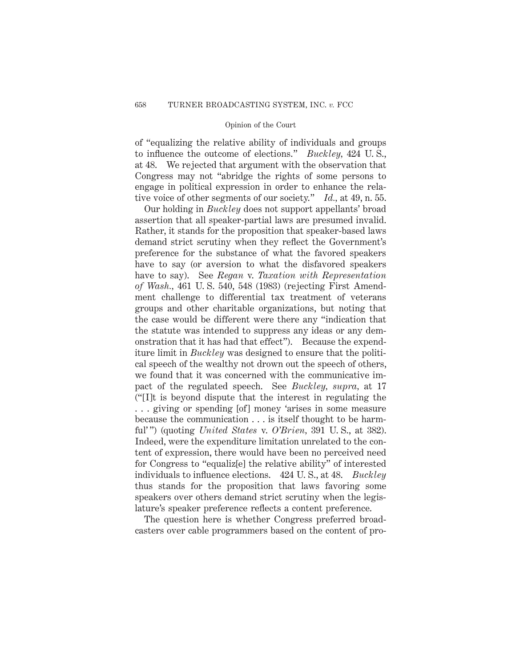of "equalizing the relative ability of individuals and groups to influence the outcome of elections." *Buckley,* 424 U. S., at 48. We rejected that argument with the observation that Congress may not "abridge the rights of some persons to engage in political expression in order to enhance the relative voice of other segments of our society." *Id.,* at 49, n. 55.

Our holding in *Buckley* does not support appellants' broad assertion that all speaker-partial laws are presumed invalid. Rather, it stands for the proposition that speaker-based laws demand strict scrutiny when they reflect the Government's preference for the substance of what the favored speakers have to say (or aversion to what the disfavored speakers have to say). See *Regan* v. *Taxation with Representation of Wash.,* 461 U. S. 540, 548 (1983) (rejecting First Amendment challenge to differential tax treatment of veterans groups and other charitable organizations, but noting that the case would be different were there any "indication that the statute was intended to suppress any ideas or any demonstration that it has had that effect"). Because the expenditure limit in *Buckley* was designed to ensure that the political speech of the wealthy not drown out the speech of others, we found that it was concerned with the communicative impact of the regulated speech. See *Buckley, supra,* at 17 ("[I]t is beyond dispute that the interest in regulating the . . . giving or spending [of] money 'arises in some measure because the communication . . . is itself thought to be harmful' ") (quoting *United States* v. *O'Brien,* 391 U. S., at 382). Indeed, were the expenditure limitation unrelated to the content of expression, there would have been no perceived need for Congress to "equaliz[e] the relative ability" of interested individuals to influence elections. 424 U. S., at 48. *Buckley* thus stands for the proposition that laws favoring some speakers over others demand strict scrutiny when the legislature's speaker preference reflects a content preference.

The question here is whether Congress preferred broadcasters over cable programmers based on the content of pro-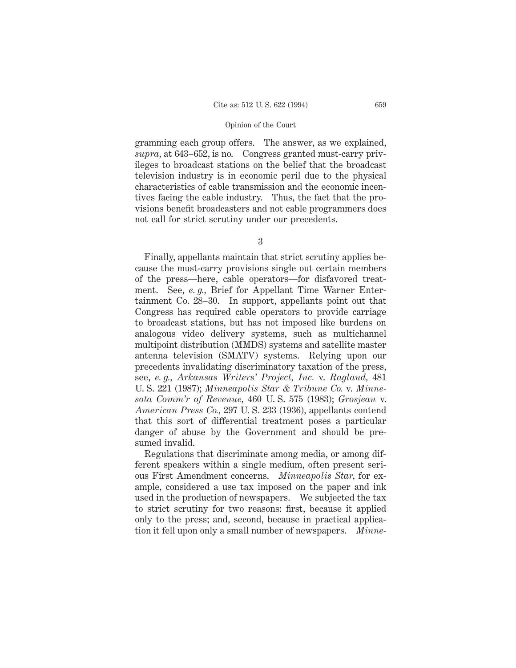gramming each group offers. The answer, as we explained, *supra,* at 643–652, is no. Congress granted must-carry privileges to broadcast stations on the belief that the broadcast television industry is in economic peril due to the physical characteristics of cable transmission and the economic incentives facing the cable industry. Thus, the fact that the provisions benefit broadcasters and not cable programmers does not call for strict scrutiny under our precedents.

3

Finally, appellants maintain that strict scrutiny applies because the must-carry provisions single out certain members of the press—here, cable operators—for disfavored treatment. See, *e. g.,* Brief for Appellant Time Warner Entertainment Co. 28–30. In support, appellants point out that Congress has required cable operators to provide carriage to broadcast stations, but has not imposed like burdens on analogous video delivery systems, such as multichannel multipoint distribution (MMDS) systems and satellite master antenna television (SMATV) systems. Relying upon our precedents invalidating discriminatory taxation of the press, see, *e. g., Arkansas Writers' Project, Inc.* v. *Ragland,* 481 U. S. 221 (1987); *Minneapolis Star & Tribune Co.* v. *Minnesota Comm'r of Revenue,* 460 U. S. 575 (1983); *Grosjean* v. *American Press Co.,* 297 U. S. 233 (1936), appellants contend that this sort of differential treatment poses a particular danger of abuse by the Government and should be presumed invalid.

Regulations that discriminate among media, or among different speakers within a single medium, often present serious First Amendment concerns. *Minneapolis Star,* for example, considered a use tax imposed on the paper and ink used in the production of newspapers. We subjected the tax to strict scrutiny for two reasons: first, because it applied only to the press; and, second, because in practical application it fell upon only a small number of newspapers. *Minne-*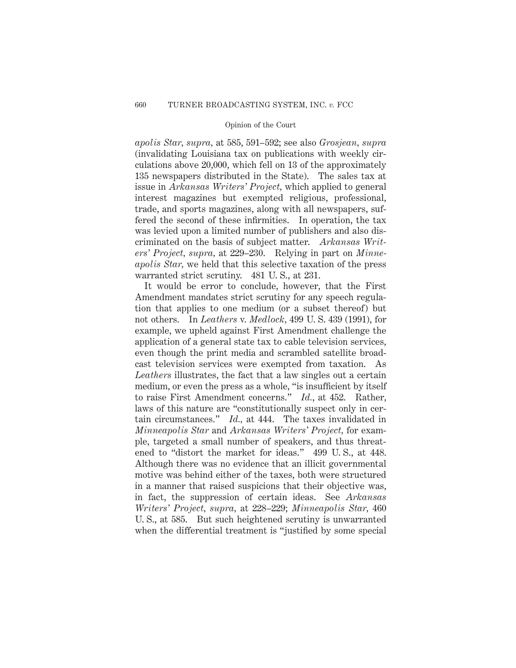*apolis Star, supra,* at 585, 591–592; see also *Grosjean, supra* (invalidating Louisiana tax on publications with weekly circulations above 20,000, which fell on 13 of the approximately 135 newspapers distributed in the State). The sales tax at issue in *Arkansas Writers' Project,* which applied to general interest magazines but exempted religious, professional, trade, and sports magazines, along with all newspapers, suffered the second of these infirmities. In operation, the tax was levied upon a limited number of publishers and also discriminated on the basis of subject matter. *Arkansas Writers' Project, supra,* at 229–230. Relying in part on *Minneapolis Star,* we held that this selective taxation of the press warranted strict scrutiny. 481 U. S., at 231.

It would be error to conclude, however, that the First Amendment mandates strict scrutiny for any speech regulation that applies to one medium (or a subset thereof) but not others. In *Leathers* v. *Medlock,* 499 U. S. 439 (1991), for example, we upheld against First Amendment challenge the application of a general state tax to cable television services, even though the print media and scrambled satellite broadcast television services were exempted from taxation. As *Leathers* illustrates, the fact that a law singles out a certain medium, or even the press as a whole, "is insufficient by itself to raise First Amendment concerns." *Id.*, at 452. Rather, laws of this nature are "constitutionally suspect only in certain circumstances." *Id.,* at 444. The taxes invalidated in *Minneapolis Star* and *Arkansas Writers' Project,* for example, targeted a small number of speakers, and thus threatened to "distort the market for ideas." 499 U. S., at 448. Although there was no evidence that an illicit governmental motive was behind either of the taxes, both were structured in a manner that raised suspicions that their objective was, in fact, the suppression of certain ideas. See *Arkansas Writers' Project, supra,* at 228–229; *Minneapolis Star,* 460 U. S., at 585. But such heightened scrutiny is unwarranted when the differential treatment is "justified by some special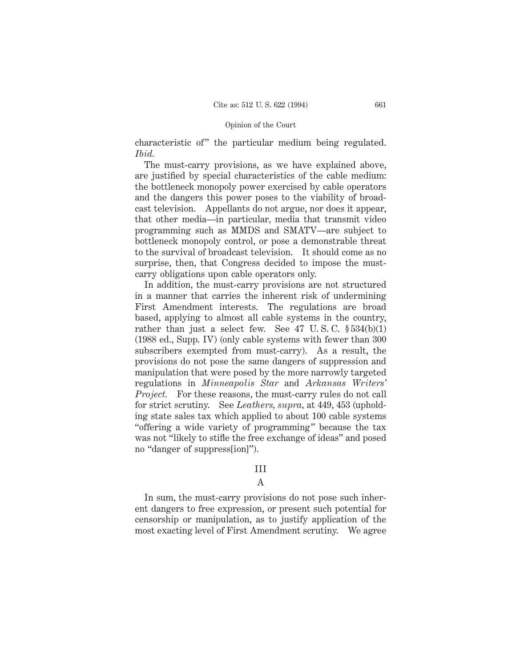characteristic of" the particular medium being regulated. *Ibid.*

The must-carry provisions, as we have explained above, are justified by special characteristics of the cable medium: the bottleneck monopoly power exercised by cable operators and the dangers this power poses to the viability of broadcast television. Appellants do not argue, nor does it appear, that other media—in particular, media that transmit video programming such as MMDS and SMATV—are subject to bottleneck monopoly control, or pose a demonstrable threat to the survival of broadcast television. It should come as no surprise, then, that Congress decided to impose the mustcarry obligations upon cable operators only.

In addition, the must-carry provisions are not structured in a manner that carries the inherent risk of undermining First Amendment interests. The regulations are broad based, applying to almost all cable systems in the country, rather than just a select few. See  $47 \text{ U.S. C. }$  \$534(b)(1) (1988 ed., Supp. IV) (only cable systems with fewer than 300 subscribers exempted from must-carry). As a result, the provisions do not pose the same dangers of suppression and manipulation that were posed by the more narrowly targeted regulations in *Minneapolis Star* and *Arkansas Writers' Project.* For these reasons, the must-carry rules do not call for strict scrutiny. See *Leathers, supra,* at 449, 453 (upholding state sales tax which applied to about 100 cable systems "offering a wide variety of programming" because the tax was not "likely to stifle the free exchange of ideas" and posed no "danger of suppress[ion]").

#### III

## A

In sum, the must-carry provisions do not pose such inherent dangers to free expression, or present such potential for censorship or manipulation, as to justify application of the most exacting level of First Amendment scrutiny. We agree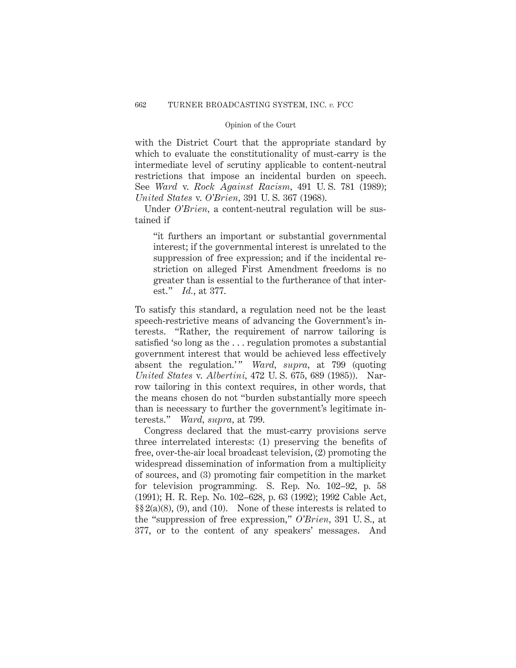with the District Court that the appropriate standard by which to evaluate the constitutionality of must-carry is the intermediate level of scrutiny applicable to content-neutral restrictions that impose an incidental burden on speech. See *Ward* v. *Rock Against Racism,* 491 U. S. 781 (1989); *United States* v. *O'Brien,* 391 U. S. 367 (1968).

Under *O'Brien,* a content-neutral regulation will be sustained if

"it furthers an important or substantial governmental interest; if the governmental interest is unrelated to the suppression of free expression; and if the incidental restriction on alleged First Amendment freedoms is no greater than is essential to the furtherance of that interest." *Id.*, at 377.

To satisfy this standard, a regulation need not be the least speech-restrictive means of advancing the Government's interests. "Rather, the requirement of narrow tailoring is satisfied 'so long as the . . . regulation promotes a substantial government interest that would be achieved less effectively absent the regulation.'" *Ward, supra,* at 799 (quoting *United States* v. *Albertini,* 472 U. S. 675, 689 (1985)). Narrow tailoring in this context requires, in other words, that the means chosen do not "burden substantially more speech than is necessary to further the government's legitimate interests." *Ward, supra,* at 799.

Congress declared that the must-carry provisions serve three interrelated interests: (1) preserving the benefits of free, over-the-air local broadcast television, (2) promoting the widespread dissemination of information from a multiplicity of sources, and (3) promoting fair competition in the market for television programming. S. Rep. No. 102–92, p. 58 (1991); H. R. Rep. No. 102–628, p. 63 (1992); 1992 Cable Act,  $\S\S 2(a)(8)$ , (9), and (10). None of these interests is related to the "suppression of free expression," *O'Brien,* 391 U. S., at 377, or to the content of any speakers' messages. And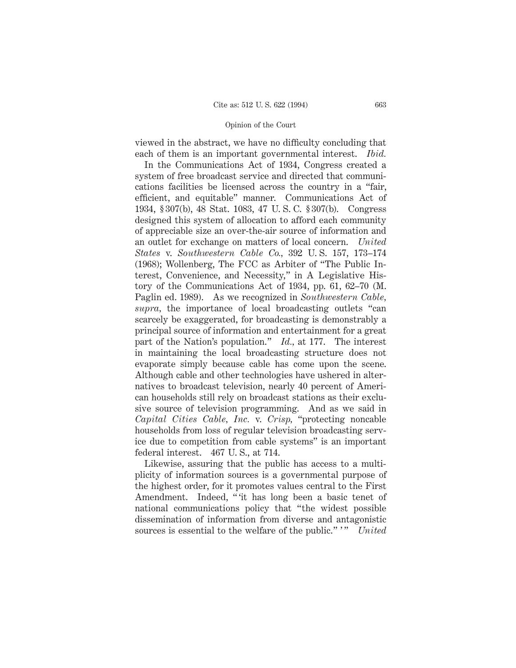viewed in the abstract, we have no difficulty concluding that each of them is an important governmental interest. *Ibid.*

In the Communications Act of 1934, Congress created a system of free broadcast service and directed that communications facilities be licensed across the country in a "fair, efficient, and equitable" manner. Communications Act of 1934, § 307(b), 48 Stat. 1083, 47 U. S. C. § 307(b). Congress designed this system of allocation to afford each community of appreciable size an over-the-air source of information and an outlet for exchange on matters of local concern. *United States* v. *Southwestern Cable Co.,* 392 U. S. 157, 173–174 (1968); Wollenberg, The FCC as Arbiter of "The Public Interest, Convenience, and Necessity," in A Legislative History of the Communications Act of 1934, pp. 61, 62–70 (M. Paglin ed. 1989). As we recognized in *Southwestern Cable, supra,* the importance of local broadcasting outlets "can scarcely be exaggerated, for broadcasting is demonstrably a principal source of information and entertainment for a great part of the Nation's population." *Id.,* at 177. The interest in maintaining the local broadcasting structure does not evaporate simply because cable has come upon the scene. Although cable and other technologies have ushered in alternatives to broadcast television, nearly 40 percent of American households still rely on broadcast stations as their exclusive source of television programming. And as we said in *Capital Cities Cable, Inc.* v. *Crisp,* "protecting noncable households from loss of regular television broadcasting service due to competition from cable systems" is an important federal interest. 467 U. S., at 714.

Likewise, assuring that the public has access to a multiplicity of information sources is a governmental purpose of the highest order, for it promotes values central to the First Amendment. Indeed, ""it has long been a basic tenet of national communications policy that "the widest possible dissemination of information from diverse and antagonistic sources is essential to the welfare of the public." " United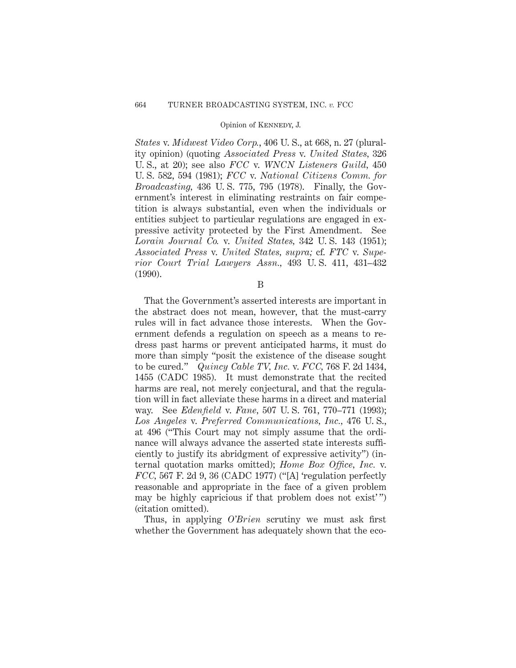*States* v. *Midwest Video Corp.*, 406 U. S., at 668, n. 27 (plurality opinion) (quoting *Associated Press* v. *United States,* 326 U. S., at 20); see also *FCC* v. *WNCN Listeners Guild,* 450 U. S. 582, 594 (1981); *FCC* v. *National Citizens Comm. for Broadcasting,* 436 U. S. 775, 795 (1978). Finally, the Government's interest in eliminating restraints on fair competition is always substantial, even when the individuals or entities subject to particular regulations are engaged in expressive activity protected by the First Amendment. See *Lorain Journal Co.* v. *United States,* 342 U. S. 143 (1951); *Associated Press* v. *United States, supra;* cf. *FTC* v. *Superior Court Trial Lawyers Assn.,* 493 U. S. 411, 431–432 (1990).

B

That the Government's asserted interests are important in the abstract does not mean, however, that the must-carry rules will in fact advance those interests. When the Government defends a regulation on speech as a means to redress past harms or prevent anticipated harms, it must do more than simply "posit the existence of the disease sought to be cured." *Quincy Cable TV, Inc.* v. *FCC,* 768 F. 2d 1434, 1455 (CADC 1985). It must demonstrate that the recited harms are real, not merely conjectural, and that the regulation will in fact alleviate these harms in a direct and material way. See *Edenfield* v. *Fane,* 507 U. S. 761, 770–771 (1993); *Los Angeles* v. *Preferred Communications, Inc.,* 476 U. S., at 496 ("This Court may not simply assume that the ordinance will always advance the asserted state interests sufficiently to justify its abridgment of expressive activity") (internal quotation marks omitted); *Home Box Office, Inc.* v. *FCC,* 567 F. 2d 9, 36 (CADC 1977) ("[A] 'regulation perfectly reasonable and appropriate in the face of a given problem may be highly capricious if that problem does not exist'" (citation omitted).

Thus, in applying *O'Brien* scrutiny we must ask first whether the Government has adequately shown that the eco-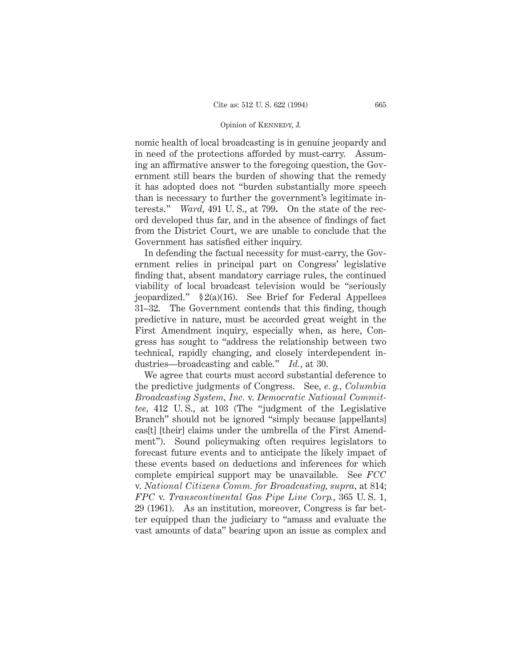nomic health of local broadcasting is in genuine jeopardy and in need of the protections afforded by must-carry. Assuming an affirmative answer to the foregoing question, the Government still bears the burden of showing that the remedy it has adopted does not "burden substantially more speech than is necessary to further the government's legitimate interests." *Ward,* 491 U. S., at 799**.** On the state of the record developed thus far, and in the absence of findings of fact from the District Court, we are unable to conclude that the Government has satisfied either inquiry.

In defending the factual necessity for must-carry, the Government relies in principal part on Congress' legislative finding that, absent mandatory carriage rules, the continued viability of local broadcast television would be "seriously jeopardized." § 2(a)(16). See Brief for Federal Appellees 31–32. The Government contends that this finding, though predictive in nature, must be accorded great weight in the First Amendment inquiry, especially when, as here, Congress has sought to "address the relationship between two technical, rapidly changing, and closely interdependent industries—broadcasting and cable." *Id.*, at 30.

We agree that courts must accord substantial deference to the predictive judgments of Congress. See, *e. g., Columbia Broadcasting System, Inc.* v. *Democratic National Committee,* 412 U. S., at 103 (The "judgment of the Legislative Branch" should not be ignored "simply because [appellants] cas[t] [their] claims under the umbrella of the First Amendment"). Sound policymaking often requires legislators to forecast future events and to anticipate the likely impact of these events based on deductions and inferences for which complete empirical support may be unavailable. See *FCC* v. *National Citizens Comm. for Broadcasting, supra,* at 814; *FPC* v. *Transcontinental Gas Pipe Line Corp.*, 365 U. S. 1, 29 (1961). As an institution, moreover, Congress is far better equipped than the judiciary to "amass and evaluate the vast amounts of data" bearing upon an issue as complex and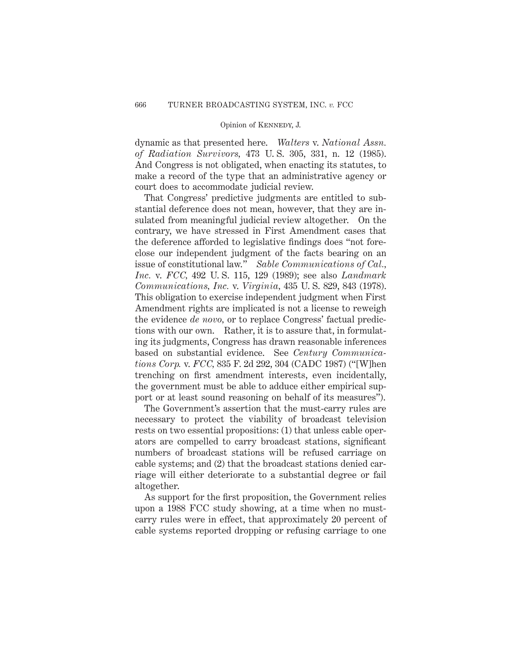dynamic as that presented here. *Walters* v. *National Assn. of Radiation Survivors,* 473 U. S. 305, 331, n. 12 (1985). And Congress is not obligated, when enacting its statutes, to make a record of the type that an administrative agency or court does to accommodate judicial review.

That Congress' predictive judgments are entitled to substantial deference does not mean, however, that they are insulated from meaningful judicial review altogether. On the contrary, we have stressed in First Amendment cases that the deference afforded to legislative findings does "not foreclose our independent judgment of the facts bearing on an issue of constitutional law." *Sable Communications of Cal., Inc.* v. *FCC,* 492 U. S. 115, 129 (1989); see also *Landmark Communications, Inc.* v. *Virginia,* 435 U. S. 829, 843 (1978). This obligation to exercise independent judgment when First Amendment rights are implicated is not a license to reweigh the evidence *de novo,* or to replace Congress' factual predictions with our own. Rather, it is to assure that, in formulating its judgments, Congress has drawn reasonable inferences based on substantial evidence. See *Century Communications Corp.* v. *FCC,* 835 F. 2d 292, 304 (CADC 1987) ("[W]hen trenching on first amendment interests, even incidentally, the government must be able to adduce either empirical support or at least sound reasoning on behalf of its measures").

The Government's assertion that the must-carry rules are necessary to protect the viability of broadcast television rests on two essential propositions: (1) that unless cable operators are compelled to carry broadcast stations, significant numbers of broadcast stations will be refused carriage on cable systems; and (2) that the broadcast stations denied carriage will either deteriorate to a substantial degree or fail altogether.

As support for the first proposition, the Government relies upon a 1988 FCC study showing, at a time when no mustcarry rules were in effect, that approximately 20 percent of cable systems reported dropping or refusing carriage to one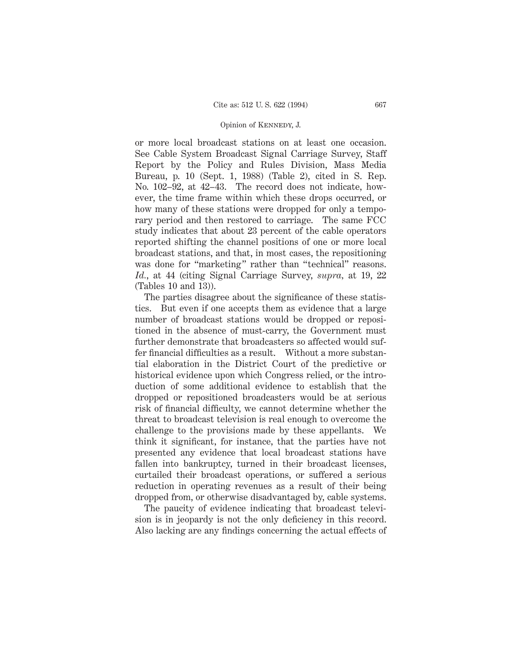or more local broadcast stations on at least one occasion. See Cable System Broadcast Signal Carriage Survey, Staff Report by the Policy and Rules Division, Mass Media Bureau, p. 10 (Sept. 1, 1988) (Table 2), cited in S. Rep. No. 102–92, at 42–43. The record does not indicate, however, the time frame within which these drops occurred, or how many of these stations were dropped for only a temporary period and then restored to carriage. The same FCC study indicates that about 23 percent of the cable operators reported shifting the channel positions of one or more local broadcast stations, and that, in most cases, the repositioning was done for "marketing" rather than "technical" reasons. *Id.*, at 44 (citing Signal Carriage Survey, *supra,* at 19, 22 (Tables 10 and 13)).

The parties disagree about the significance of these statistics. But even if one accepts them as evidence that a large number of broadcast stations would be dropped or repositioned in the absence of must-carry, the Government must further demonstrate that broadcasters so affected would suffer financial difficulties as a result. Without a more substantial elaboration in the District Court of the predictive or historical evidence upon which Congress relied, or the introduction of some additional evidence to establish that the dropped or repositioned broadcasters would be at serious risk of financial difficulty, we cannot determine whether the threat to broadcast television is real enough to overcome the challenge to the provisions made by these appellants. We think it significant, for instance, that the parties have not presented any evidence that local broadcast stations have fallen into bankruptcy, turned in their broadcast licenses, curtailed their broadcast operations, or suffered a serious reduction in operating revenues as a result of their being dropped from, or otherwise disadvantaged by, cable systems.

The paucity of evidence indicating that broadcast television is in jeopardy is not the only deficiency in this record. Also lacking are any findings concerning the actual effects of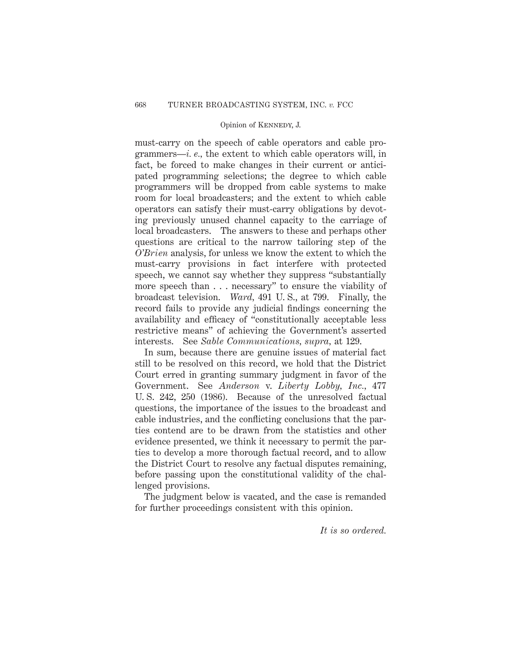must-carry on the speech of cable operators and cable programmers—*i. e.,* the extent to which cable operators will, in fact, be forced to make changes in their current or anticipated programming selections; the degree to which cable programmers will be dropped from cable systems to make room for local broadcasters; and the extent to which cable operators can satisfy their must-carry obligations by devoting previously unused channel capacity to the carriage of local broadcasters. The answers to these and perhaps other questions are critical to the narrow tailoring step of the *O'Brien* analysis, for unless we know the extent to which the must-carry provisions in fact interfere with protected speech, we cannot say whether they suppress "substantially more speech than . . . necessary" to ensure the viability of broadcast television. *Ward,* 491 U. S., at 799. Finally, the record fails to provide any judicial findings concerning the availability and efficacy of "constitutionally acceptable less restrictive means" of achieving the Government's asserted interests. See *Sable Communications, supra,* at 129.

In sum, because there are genuine issues of material fact still to be resolved on this record, we hold that the District Court erred in granting summary judgment in favor of the Government. See *Anderson* v. *Liberty Lobby, Inc.,* 477 U. S. 242, 250 (1986). Because of the unresolved factual questions, the importance of the issues to the broadcast and cable industries, and the conflicting conclusions that the parties contend are to be drawn from the statistics and other evidence presented, we think it necessary to permit the parties to develop a more thorough factual record, and to allow the District Court to resolve any factual disputes remaining, before passing upon the constitutional validity of the challenged provisions.

The judgment below is vacated, and the case is remanded for further proceedings consistent with this opinion.

*It is so ordered.*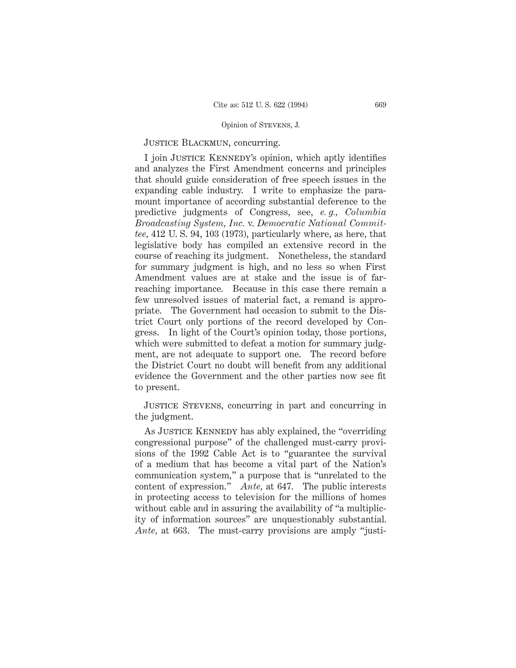## Justice Blackmun, concurring.

I join Justice Kennedy's opinion, which aptly identifies and analyzes the First Amendment concerns and principles that should guide consideration of free speech issues in the expanding cable industry. I write to emphasize the paramount importance of according substantial deference to the predictive judgments of Congress, see, *e. g., Columbia Broadcasting System, Inc.* v. *Democratic National Committee,* 412 U. S. 94, 103 (1973), particularly where, as here, that legislative body has compiled an extensive record in the course of reaching its judgment. Nonetheless, the standard for summary judgment is high, and no less so when First Amendment values are at stake and the issue is of farreaching importance. Because in this case there remain a few unresolved issues of material fact, a remand is appropriate. The Government had occasion to submit to the District Court only portions of the record developed by Congress. In light of the Court's opinion today, those portions, which were submitted to defeat a motion for summary judgment, are not adequate to support one. The record before the District Court no doubt will benefit from any additional evidence the Government and the other parties now see fit to present.

Justice Stevens, concurring in part and concurring in the judgment.

As JUSTICE KENNEDY has ably explained, the "overriding" congressional purpose" of the challenged must-carry provisions of the 1992 Cable Act is to "guarantee the survival of a medium that has become a vital part of the Nation's communication system," a purpose that is "unrelated to the content of expression." *Ante,* at 647. The public interests in protecting access to television for the millions of homes without cable and in assuring the availability of "a multiplicity of information sources" are unquestionably substantial. *Ante,* at 663. The must-carry provisions are amply "justi-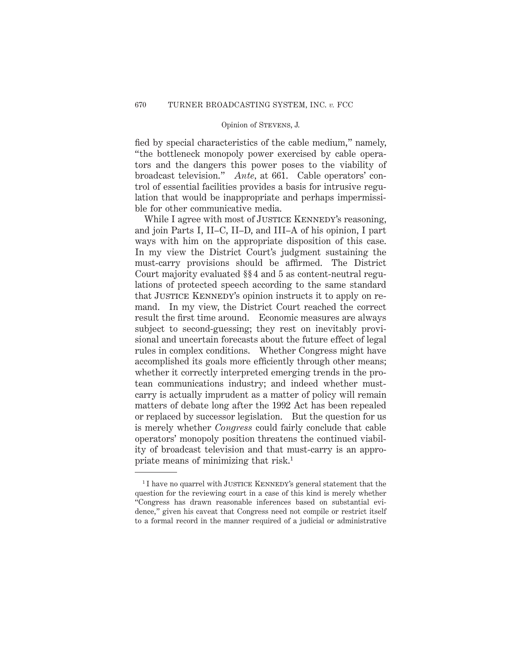fied by special characteristics of the cable medium," namely, "the bottleneck monopoly power exercised by cable operators and the dangers this power poses to the viability of broadcast television." *Ante,* at 661. Cable operators' control of essential facilities provides a basis for intrusive regulation that would be inappropriate and perhaps impermissible for other communicative media.

While I agree with most of JUSTICE KENNEDY's reasoning, and join Parts I, II–C, II–D, and III–A of his opinion, I part ways with him on the appropriate disposition of this case. In my view the District Court's judgment sustaining the must-carry provisions should be affirmed. The District Court majority evaluated §§ 4 and 5 as content-neutral regulations of protected speech according to the same standard that Justice Kennedy's opinion instructs it to apply on remand. In my view, the District Court reached the correct result the first time around. Economic measures are always subject to second-guessing; they rest on inevitably provisional and uncertain forecasts about the future effect of legal rules in complex conditions. Whether Congress might have accomplished its goals more efficiently through other means; whether it correctly interpreted emerging trends in the protean communications industry; and indeed whether mustcarry is actually imprudent as a matter of policy will remain matters of debate long after the 1992 Act has been repealed or replaced by successor legislation. But the question for us is merely whether *Congress* could fairly conclude that cable operators' monopoly position threatens the continued viability of broadcast television and that must-carry is an appropriate means of minimizing that risk.1

<sup>&</sup>lt;sup>1</sup> I have no quarrel with JUSTICE KENNEDY's general statement that the question for the reviewing court in a case of this kind is merely whether "Congress has drawn reasonable inferences based on substantial evidence," given his caveat that Congress need not compile or restrict itself to a formal record in the manner required of a judicial or administrative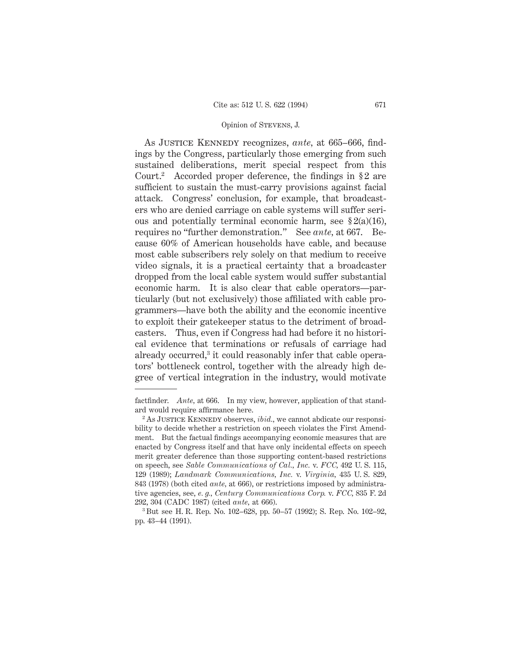As Justice Kennedy recognizes, *ante,* at 665–666, findings by the Congress, particularly those emerging from such sustained deliberations, merit special respect from this Court.<sup>2</sup> Accorded proper deference, the findings in  $\S 2$  are sufficient to sustain the must-carry provisions against facial attack. Congress' conclusion, for example, that broadcasters who are denied carriage on cable systems will suffer serious and potentially terminal economic harm, see  $\S 2(a)(16)$ , requires no "further demonstration." See *ante,* at 667. Because 60% of American households have cable, and because most cable subscribers rely solely on that medium to receive video signals, it is a practical certainty that a broadcaster dropped from the local cable system would suffer substantial economic harm. It is also clear that cable operators—particularly (but not exclusively) those affiliated with cable programmers—have both the ability and the economic incentive to exploit their gatekeeper status to the detriment of broadcasters. Thus, even if Congress had had before it no historical evidence that terminations or refusals of carriage had already occurred,<sup>3</sup> it could reasonably infer that cable operators' bottleneck control, together with the already high degree of vertical integration in the industry, would motivate

factfinder. *Ante,* at 666. In my view, however, application of that standard would require affirmance here.

<sup>&</sup>lt;sup>2</sup> As JUSTICE KENNEDY observes, *ibid.*, we cannot abdicate our responsibility to decide whether a restriction on speech violates the First Amendment. But the factual findings accompanying economic measures that are enacted by Congress itself and that have only incidental effects on speech merit greater deference than those supporting content-based restrictions on speech, see *Sable Communications of Cal., Inc.* v. *FCC,* 492 U. S. 115, 129 (1989); *Landmark Communications, Inc.* v. *Virginia,* 435 U. S. 829, 843 (1978) (both cited *ante,* at 666), or restrictions imposed by administrative agencies, see, *e. g., Century Communications Corp.* v. *FCC,* 835 F. 2d 292, 304 (CADC 1987) (cited *ante,* at 666).

<sup>3</sup> But see H. R. Rep. No. 102–628, pp. 50–57 (1992); S. Rep. No. 102–92, pp. 43–44 (1991).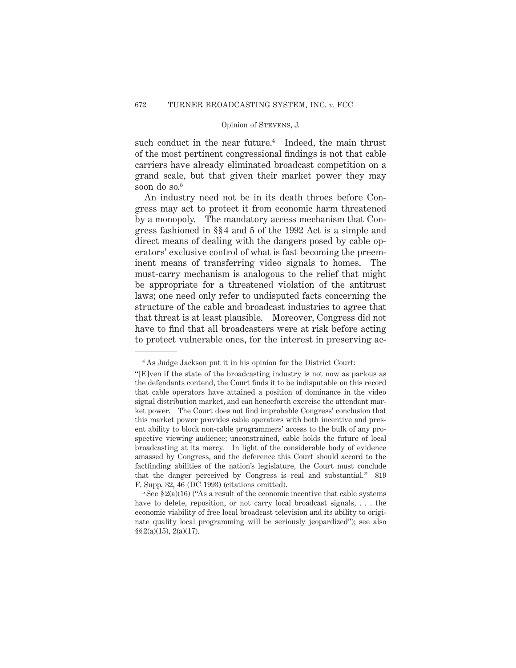such conduct in the near future. $4$  Indeed, the main thrust of the most pertinent congressional findings is not that cable carriers have already eliminated broadcast competition on a grand scale, but that given their market power they may soon do so.<sup>5</sup>

An industry need not be in its death throes before Congress may act to protect it from economic harm threatened by a monopoly. The mandatory access mechanism that Congress fashioned in §§ 4 and 5 of the 1992 Act is a simple and direct means of dealing with the dangers posed by cable operators' exclusive control of what is fast becoming the preeminent means of transferring video signals to homes. The must-carry mechanism is analogous to the relief that might be appropriate for a threatened violation of the antitrust laws; one need only refer to undisputed facts concerning the structure of the cable and broadcast industries to agree that that threat is at least plausible. Moreover, Congress did not have to find that all broadcasters were at risk before acting to protect vulnerable ones, for the interest in preserving ac-

<sup>4</sup> As Judge Jackson put it in his opinion for the District Court:

<sup>&</sup>quot;[E]ven if the state of the broadcasting industry is not now as parlous as the defendants contend, the Court finds it to be indisputable on this record that cable operators have attained a position of dominance in the video signal distribution market, and can henceforth exercise the attendant market power. The Court does not find improbable Congress' conclusion that this market power provides cable operators with both incentive and present ability to block non-cable programmers' access to the bulk of any prospective viewing audience; unconstrained, cable holds the future of local broadcasting at its mercy. In light of the considerable body of evidence amassed by Congress, and the deference this Court should accord to the factfinding abilities of the nation's legislature, the Court must conclude that the danger perceived by Congress is real and substantial." 819 F. Supp. 32, 46 (DC 1993) (citations omitted).

<sup>&</sup>lt;sup>5</sup> See  $\S 2(a)(16)$  ("As a result of the economic incentive that cable systems have to delete, reposition, or not carry local broadcast signals, . . . the economic viability of free local broadcast television and its ability to originate quality local programming will be seriously jeopardized"); see also §§ 2(a)(15), 2(a)(17).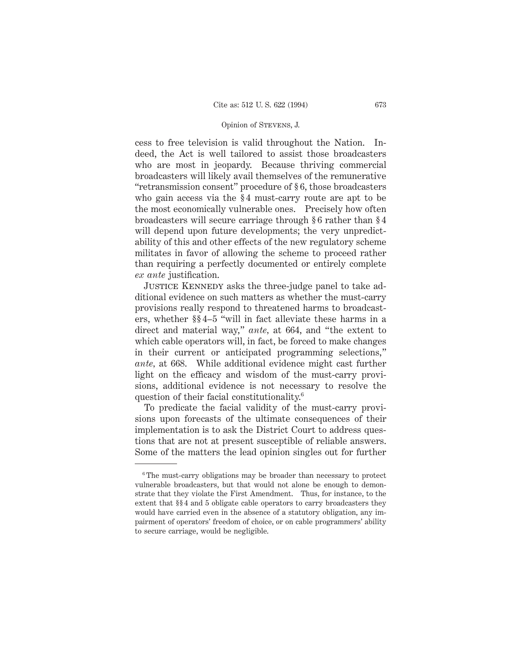cess to free television is valid throughout the Nation. Indeed, the Act is well tailored to assist those broadcasters who are most in jeopardy. Because thriving commercial broadcasters will likely avail themselves of the remunerative "retransmission consent" procedure of § 6, those broadcasters who gain access via the §4 must-carry route are apt to be the most economically vulnerable ones. Precisely how often broadcasters will secure carriage through § 6 rather than § 4 will depend upon future developments; the very unpredictability of this and other effects of the new regulatory scheme militates in favor of allowing the scheme to proceed rather than requiring a perfectly documented or entirely complete *ex ante* justification.

Justice Kennedy asks the three-judge panel to take additional evidence on such matters as whether the must-carry provisions really respond to threatened harms to broadcasters, whether §§ 4–5 "will in fact alleviate these harms in a direct and material way," *ante,* at 664, and "the extent to which cable operators will, in fact, be forced to make changes in their current or anticipated programming selections," *ante,* at 668. While additional evidence might cast further light on the efficacy and wisdom of the must-carry provisions, additional evidence is not necessary to resolve the question of their facial constitutionality.6

To predicate the facial validity of the must-carry provisions upon forecasts of the ultimate consequences of their implementation is to ask the District Court to address questions that are not at present susceptible of reliable answers. Some of the matters the lead opinion singles out for further

<sup>&</sup>lt;sup>6</sup> The must-carry obligations may be broader than necessary to protect vulnerable broadcasters, but that would not alone be enough to demonstrate that they violate the First Amendment. Thus, for instance, to the extent that §§ 4 and 5 obligate cable operators to carry broadcasters they would have carried even in the absence of a statutory obligation, any impairment of operators' freedom of choice, or on cable programmers' ability to secure carriage, would be negligible.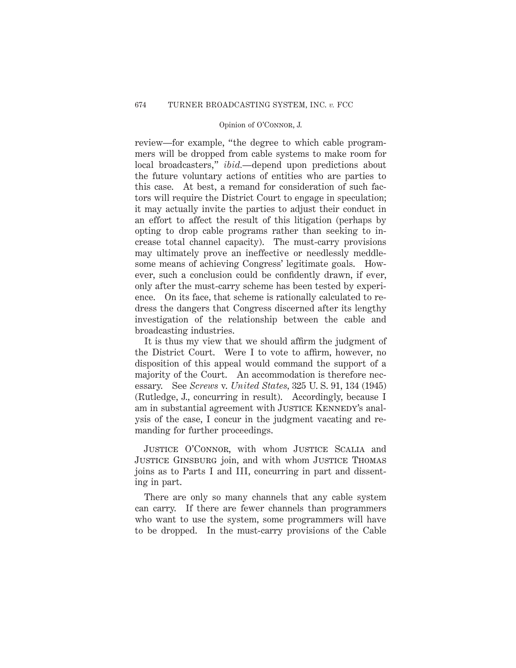review—for example, "the degree to which cable programmers will be dropped from cable systems to make room for local broadcasters," *ibid.*—depend upon predictions about the future voluntary actions of entities who are parties to this case. At best, a remand for consideration of such factors will require the District Court to engage in speculation; it may actually invite the parties to adjust their conduct in an effort to affect the result of this litigation (perhaps by opting to drop cable programs rather than seeking to increase total channel capacity). The must-carry provisions may ultimately prove an ineffective or needlessly meddlesome means of achieving Congress' legitimate goals. However, such a conclusion could be confidently drawn, if ever, only after the must-carry scheme has been tested by experience. On its face, that scheme is rationally calculated to redress the dangers that Congress discerned after its lengthy investigation of the relationship between the cable and broadcasting industries.

It is thus my view that we should affirm the judgment of the District Court. Were I to vote to affirm, however, no disposition of this appeal would command the support of a majority of the Court. An accommodation is therefore necessary. See *Screws* v. *United States,* 325 U. S. 91, 134 (1945) (Rutledge, J., concurring in result). Accordingly, because I am in substantial agreement with JUSTICE KENNEDY's analysis of the case, I concur in the judgment vacating and remanding for further proceedings.

Justice O'Connor, with whom Justice Scalia and Justice Ginsburg join, and with whom Justice Thomas joins as to Parts I and III, concurring in part and dissenting in part.

There are only so many channels that any cable system can carry. If there are fewer channels than programmers who want to use the system, some programmers will have to be dropped. In the must-carry provisions of the Cable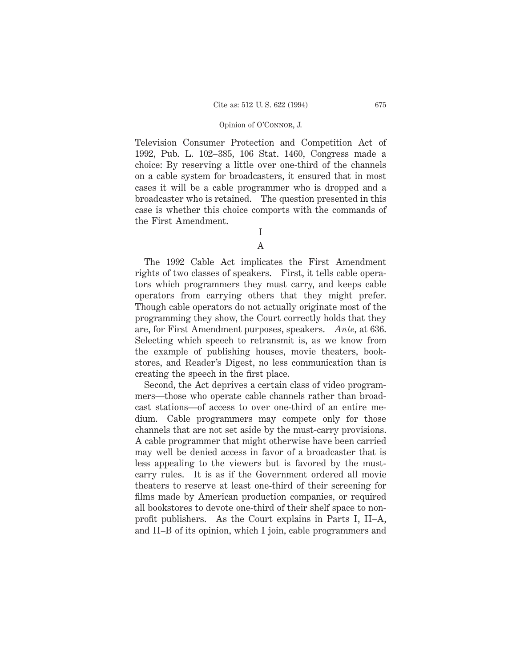Television Consumer Protection and Competition Act of 1992, Pub. L. 102–385, 106 Stat. 1460, Congress made a choice: By reserving a little over one-third of the channels on a cable system for broadcasters, it ensured that in most cases it will be a cable programmer who is dropped and a broadcaster who is retained. The question presented in this case is whether this choice comports with the commands of the First Amendment.

I

## A

The 1992 Cable Act implicates the First Amendment rights of two classes of speakers. First, it tells cable operators which programmers they must carry, and keeps cable operators from carrying others that they might prefer. Though cable operators do not actually originate most of the programming they show, the Court correctly holds that they are, for First Amendment purposes, speakers. *Ante,* at 636. Selecting which speech to retransmit is, as we know from the example of publishing houses, movie theaters, bookstores, and Reader's Digest, no less communication than is creating the speech in the first place.

Second, the Act deprives a certain class of video programmers—those who operate cable channels rather than broadcast stations—of access to over one-third of an entire medium. Cable programmers may compete only for those channels that are not set aside by the must-carry provisions. A cable programmer that might otherwise have been carried may well be denied access in favor of a broadcaster that is less appealing to the viewers but is favored by the mustcarry rules. It is as if the Government ordered all movie theaters to reserve at least one-third of their screening for films made by American production companies, or required all bookstores to devote one-third of their shelf space to nonprofit publishers. As the Court explains in Parts I, II–A, and II–B of its opinion, which I join, cable programmers and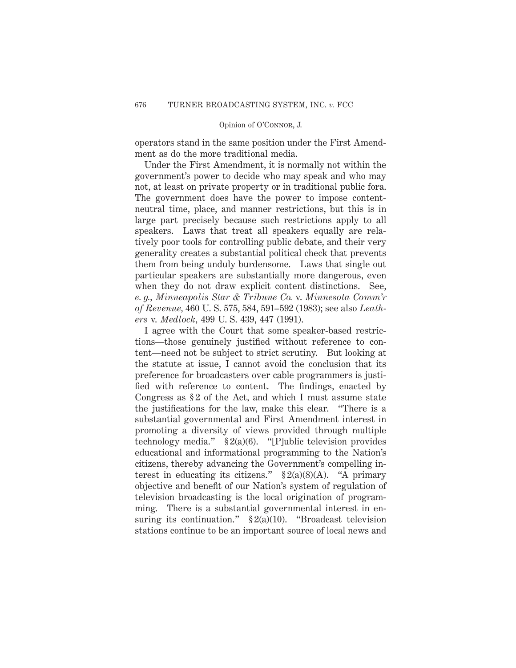operators stand in the same position under the First Amendment as do the more traditional media.

Under the First Amendment, it is normally not within the government's power to decide who may speak and who may not, at least on private property or in traditional public fora. The government does have the power to impose contentneutral time, place, and manner restrictions, but this is in large part precisely because such restrictions apply to all speakers. Laws that treat all speakers equally are relatively poor tools for controlling public debate, and their very generality creates a substantial political check that prevents them from being unduly burdensome. Laws that single out particular speakers are substantially more dangerous, even when they do not draw explicit content distinctions. See, *e. g., Minneapolis Star & Tribune Co.* v. *Minnesota Comm'r of Revenue,* 460 U. S. 575, 584, 591–592 (1983); see also *Leathers* v. *Medlock,* 499 U. S. 439, 447 (1991).

I agree with the Court that some speaker-based restrictions—those genuinely justified without reference to content—need not be subject to strict scrutiny. But looking at the statute at issue, I cannot avoid the conclusion that its preference for broadcasters over cable programmers is justified with reference to content. The findings, enacted by Congress as  $\S 2$  of the Act, and which I must assume state the justifications for the law, make this clear. "There is a substantial governmental and First Amendment interest in promoting a diversity of views provided through multiple technology media."  $\S 2(a)(6)$ . "[P]ublic television provides educational and informational programming to the Nation's citizens, thereby advancing the Government's compelling interest in educating its citizens."  $\S 2(a)(8)(A)$ . "A primary objective and benefit of our Nation's system of regulation of television broadcasting is the local origination of programming. There is a substantial governmental interest in ensuring its continuation."  $\S 2(a)(10)$ . "Broadcast television stations continue to be an important source of local news and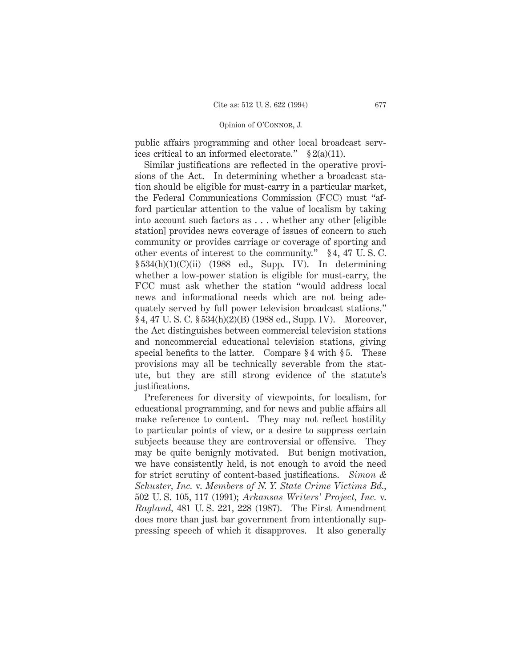public affairs programming and other local broadcast services critical to an informed electorate."  $\S 2(a)(11)$ .

Similar justifications are reflected in the operative provisions of the Act. In determining whether a broadcast station should be eligible for must-carry in a particular market, the Federal Communications Commission (FCC) must "afford particular attention to the value of localism by taking into account such factors as... whether any other [eligible station] provides news coverage of issues of concern to such community or provides carriage or coverage of sporting and other events of interest to the community." § 4, 47 U. S. C.  $$534(h)(1)(C)(ii)$  (1988 ed., Supp. IV). In determining whether a low-power station is eligible for must-carry, the FCC must ask whether the station "would address local news and informational needs which are not being adequately served by full power television broadcast stations." § 4, 47 U. S. C. § 534(h)(2)(B) (1988 ed., Supp. IV). Moreover, the Act distinguishes between commercial television stations and noncommercial educational television stations, giving special benefits to the latter. Compare §4 with §5. These provisions may all be technically severable from the statute, but they are still strong evidence of the statute's justifications.

Preferences for diversity of viewpoints, for localism, for educational programming, and for news and public affairs all make reference to content. They may not reflect hostility to particular points of view, or a desire to suppress certain subjects because they are controversial or offensive. They may be quite benignly motivated. But benign motivation, we have consistently held, is not enough to avoid the need for strict scrutiny of content-based justifications. *Simon & Schuster, Inc.* v. *Members of N. Y. State Crime Victims Bd.,* 502 U. S. 105, 117 (1991); *Arkansas Writers' Project, Inc.* v. *Ragland,* 481 U. S. 221, 228 (1987). The First Amendment does more than just bar government from intentionally suppressing speech of which it disapproves. It also generally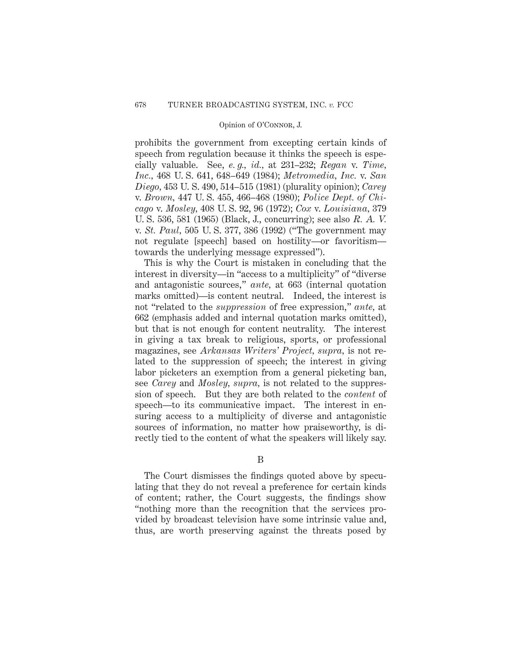prohibits the government from excepting certain kinds of speech from regulation because it thinks the speech is especially valuable. See, *e. g., id.,* at 231–232; *Regan* v. *Time, Inc.,* 468 U. S. 641, 648–649 (1984); *Metromedia, Inc.* v. *San Diego,* 453 U. S. 490, 514–515 (1981) (plurality opinion); *Carey* v. *Brown,* 447 U. S. 455, 466–468 (1980); *Police Dept. of Chicago* v. *Mosley,* 408 U. S. 92, 96 (1972); *Cox* v. *Louisiana,* 379 U. S. 536, 581 (1965) (Black, J., concurring); see also *R. A. V.* v. *St. Paul,* 505 U. S. 377, 386 (1992) ("The government may not regulate [speech] based on hostility—or favoritism towards the underlying message expressed").

This is why the Court is mistaken in concluding that the interest in diversity—in "access to a multiplicity" of "diverse and antagonistic sources," *ante,* at 663 (internal quotation marks omitted)—is content neutral. Indeed, the interest is not "related to the *suppression* of free expression," *ante,* at 662 (emphasis added and internal quotation marks omitted), but that is not enough for content neutrality. The interest in giving a tax break to religious, sports, or professional magazines, see *Arkansas Writers' Project, supra,* is not related to the suppression of speech; the interest in giving labor picketers an exemption from a general picketing ban, see *Carey* and *Mosley, supra,* is not related to the suppression of speech. But they are both related to the *content* of speech—to its communicative impact. The interest in ensuring access to a multiplicity of diverse and antagonistic sources of information, no matter how praiseworthy, is directly tied to the content of what the speakers will likely say.

B

The Court dismisses the findings quoted above by speculating that they do not reveal a preference for certain kinds of content; rather, the Court suggests, the findings show "nothing more than the recognition that the services provided by broadcast television have some intrinsic value and, thus, are worth preserving against the threats posed by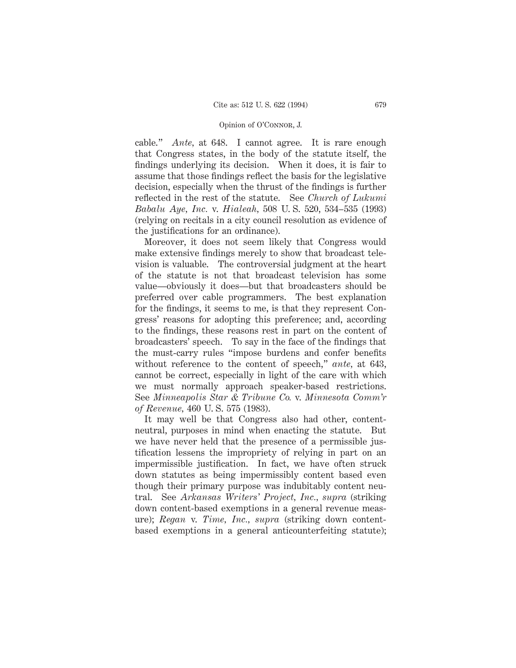cable." *Ante,* at 648. I cannot agree. It is rare enough that Congress states, in the body of the statute itself, the findings underlying its decision. When it does, it is fair to assume that those findings reflect the basis for the legislative decision, especially when the thrust of the findings is further reflected in the rest of the statute. See *Church of Lukumi Babalu Aye, Inc.* v. *Hialeah,* 508 U. S. 520, 534–535 (1993) (relying on recitals in a city council resolution as evidence of the justifications for an ordinance).

Moreover, it does not seem likely that Congress would make extensive findings merely to show that broadcast television is valuable. The controversial judgment at the heart of the statute is not that broadcast television has some value—obviously it does—but that broadcasters should be preferred over cable programmers. The best explanation for the findings, it seems to me, is that they represent Congress' reasons for adopting this preference; and, according to the findings, these reasons rest in part on the content of broadcasters' speech. To say in the face of the findings that the must-carry rules "impose burdens and confer benefits without reference to the content of speech," *ante,* at 643, cannot be correct, especially in light of the care with which we must normally approach speaker-based restrictions. See *Minneapolis Star & Tribune Co.* v. *Minnesota Comm'r of Revenue,* 460 U. S. 575 (1983).

It may well be that Congress also had other, contentneutral, purposes in mind when enacting the statute. But we have never held that the presence of a permissible justification lessens the impropriety of relying in part on an impermissible justification. In fact, we have often struck down statutes as being impermissibly content based even though their primary purpose was indubitably content neutral. See *Arkansas Writers' Project, Inc., supra* (striking down content-based exemptions in a general revenue measure); *Regan* v. *Time, Inc., supra* (striking down contentbased exemptions in a general anticounterfeiting statute);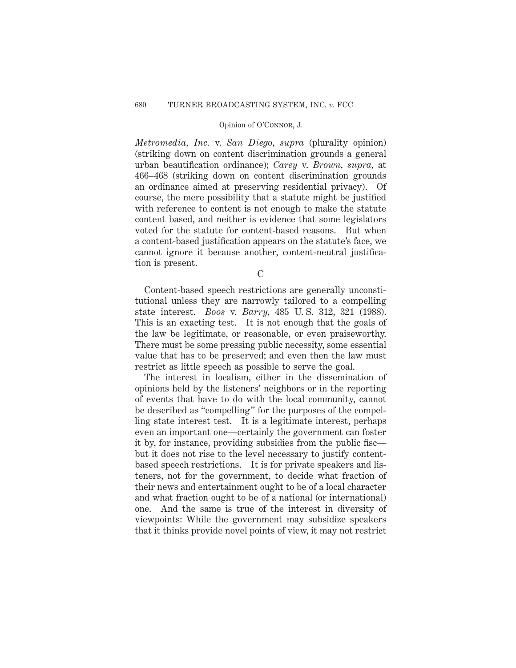*Metromedia, Inc.* v. *San Diego, supra* (plurality opinion) (striking down on content discrimination grounds a general urban beautification ordinance); *Carey* v. *Brown, supra,* at 466–468 (striking down on content discrimination grounds an ordinance aimed at preserving residential privacy). Of course, the mere possibility that a statute might be justified with reference to content is not enough to make the statute content based, and neither is evidence that some legislators voted for the statute for content-based reasons. But when a content-based justification appears on the statute's face, we cannot ignore it because another, content-neutral justification is present.

C

Content-based speech restrictions are generally unconstitutional unless they are narrowly tailored to a compelling state interest. *Boos* v. *Barry,* 485 U. S. 312, 321 (1988). This is an exacting test. It is not enough that the goals of the law be legitimate, or reasonable, or even praiseworthy. There must be some pressing public necessity, some essential value that has to be preserved; and even then the law must restrict as little speech as possible to serve the goal.

The interest in localism, either in the dissemination of opinions held by the listeners' neighbors or in the reporting of events that have to do with the local community, cannot be described as "compelling" for the purposes of the compelling state interest test. It is a legitimate interest, perhaps even an important one—certainly the government can foster it by, for instance, providing subsidies from the public fisc but it does not rise to the level necessary to justify contentbased speech restrictions. It is for private speakers and listeners, not for the government, to decide what fraction of their news and entertainment ought to be of a local character and what fraction ought to be of a national (or international) one. And the same is true of the interest in diversity of viewpoints: While the government may subsidize speakers that it thinks provide novel points of view, it may not restrict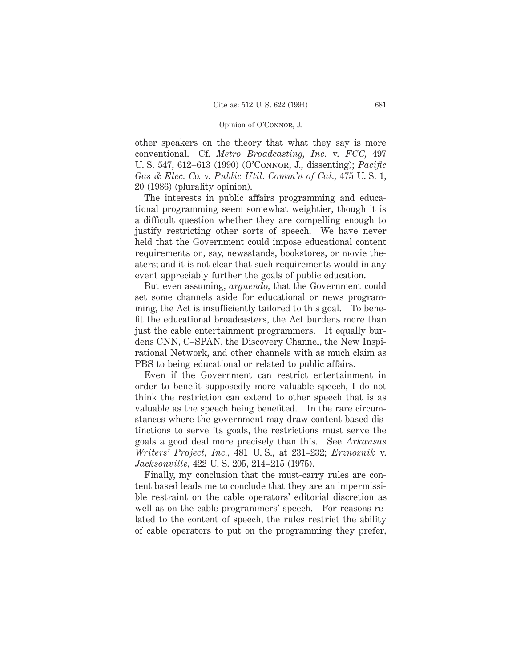other speakers on the theory that what they say is more conventional. Cf. *Metro Broadcasting, Inc.* v. *FCC,* 497 U. S. 547, 612–613 (1990) (O'Connor, J., dissenting); *Pacific Gas & Elec. Co.* v. *Public Util. Comm'n of Cal.,* 475 U. S. 1, 20 (1986) (plurality opinion).

The interests in public affairs programming and educational programming seem somewhat weightier, though it is a difficult question whether they are compelling enough to justify restricting other sorts of speech. We have never held that the Government could impose educational content requirements on, say, newsstands, bookstores, or movie theaters; and it is not clear that such requirements would in any event appreciably further the goals of public education.

But even assuming, *arguendo,* that the Government could set some channels aside for educational or news programming, the Act is insufficiently tailored to this goal. To benefit the educational broadcasters, the Act burdens more than just the cable entertainment programmers. It equally burdens CNN, C–SPAN, the Discovery Channel, the New Inspirational Network, and other channels with as much claim as PBS to being educational or related to public affairs.

Even if the Government can restrict entertainment in order to benefit supposedly more valuable speech, I do not think the restriction can extend to other speech that is as valuable as the speech being benefited. In the rare circumstances where the government may draw content-based distinctions to serve its goals, the restrictions must serve the goals a good deal more precisely than this. See *Arkansas Writers' Project, Inc.,* 481 U. S., at 231–232; *Erznoznik* v. *Jacksonville,* 422 U. S. 205, 214–215 (1975).

Finally, my conclusion that the must-carry rules are content based leads me to conclude that they are an impermissible restraint on the cable operators' editorial discretion as well as on the cable programmers' speech. For reasons related to the content of speech, the rules restrict the ability of cable operators to put on the programming they prefer,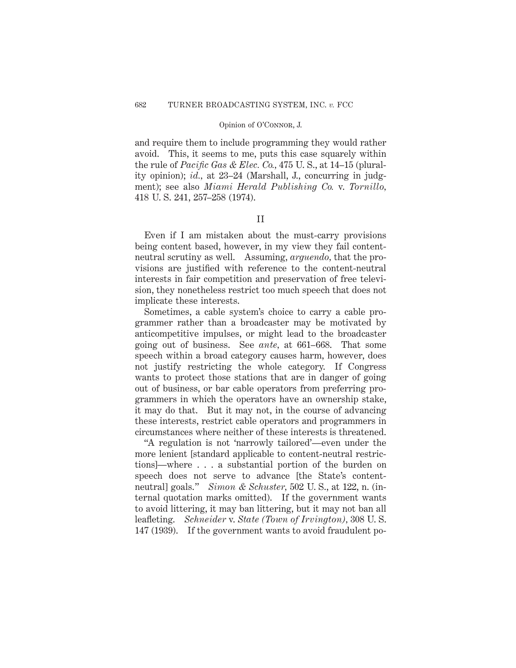and require them to include programming they would rather avoid. This, it seems to me, puts this case squarely within the rule of *Pacific Gas & Elec. Co.,* 475 U. S., at 14–15 (plurality opinion); *id.,* at 23–24 (Marshall, J., concurring in judgment); see also *Miami Herald Publishing Co.* v. *Tornillo,* 418 U. S. 241, 257–258 (1974).

## II

Even if I am mistaken about the must-carry provisions being content based, however, in my view they fail contentneutral scrutiny as well. Assuming, *arguendo,* that the provisions are justified with reference to the content-neutral interests in fair competition and preservation of free television, they nonetheless restrict too much speech that does not implicate these interests.

Sometimes, a cable system's choice to carry a cable programmer rather than a broadcaster may be motivated by anticompetitive impulses, or might lead to the broadcaster going out of business. See *ante,* at 661–668. That some speech within a broad category causes harm, however, does not justify restricting the whole category. If Congress wants to protect those stations that are in danger of going out of business, or bar cable operators from preferring programmers in which the operators have an ownership stake, it may do that. But it may not, in the course of advancing these interests, restrict cable operators and programmers in circumstances where neither of these interests is threatened.

"A regulation is not 'narrowly tailored'—even under the more lenient [standard applicable to content-neutral restrictions]—where...a substantial portion of the burden on speech does not serve to advance [the State's contentneutral] goals." *Simon & Schuster,* 502 U. S., at 122, n. (internal quotation marks omitted). If the government wants to avoid littering, it may ban littering, but it may not ban all leafleting. *Schneider* v. *State (Town of Irvington),* 308 U. S. 147 (1939). If the government wants to avoid fraudulent po-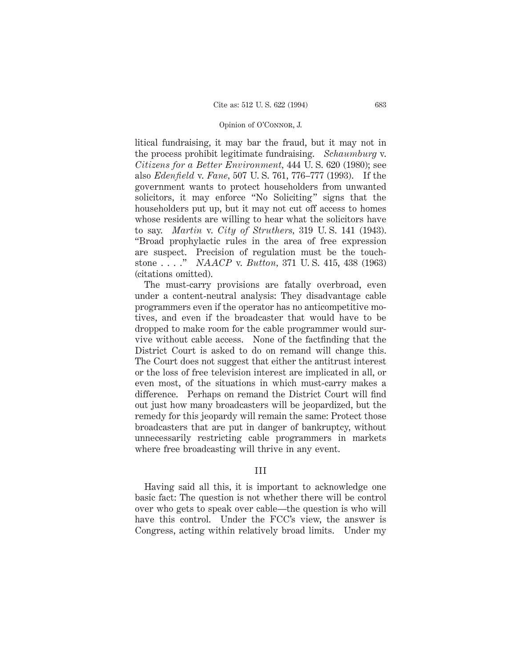litical fundraising, it may bar the fraud, but it may not in the process prohibit legitimate fundraising. *Schaumburg* v. *Citizens for a Better Environment,* 444 U. S. 620 (1980); see also *Edenfield* v. *Fane,* 507 U. S. 761, 776–777 (1993). If the government wants to protect householders from unwanted solicitors, it may enforce "No Soliciting" signs that the householders put up, but it may not cut off access to homes whose residents are willing to hear what the solicitors have to say. *Martin* v. *City of Struthers,* 319 U. S. 141 (1943). "Broad prophylactic rules in the area of free expression are suspect. Precision of regulation must be the touchstone . . . ." *NAACP* v. *Button,* 371 U. S. 415, 438 (1963) (citations omitted).

The must-carry provisions are fatally overbroad, even under a content-neutral analysis: They disadvantage cable programmers even if the operator has no anticompetitive motives, and even if the broadcaster that would have to be dropped to make room for the cable programmer would survive without cable access. None of the factfinding that the District Court is asked to do on remand will change this. The Court does not suggest that either the antitrust interest or the loss of free television interest are implicated in all, or even most, of the situations in which must-carry makes a difference. Perhaps on remand the District Court will find out just how many broadcasters will be jeopardized, but the remedy for this jeopardy will remain the same: Protect those broadcasters that are put in danger of bankruptcy, without unnecessarily restricting cable programmers in markets where free broadcasting will thrive in any event.

### III

Having said all this, it is important to acknowledge one basic fact: The question is not whether there will be control over who gets to speak over cable—the question is who will have this control. Under the FCC's view, the answer is Congress, acting within relatively broad limits. Under my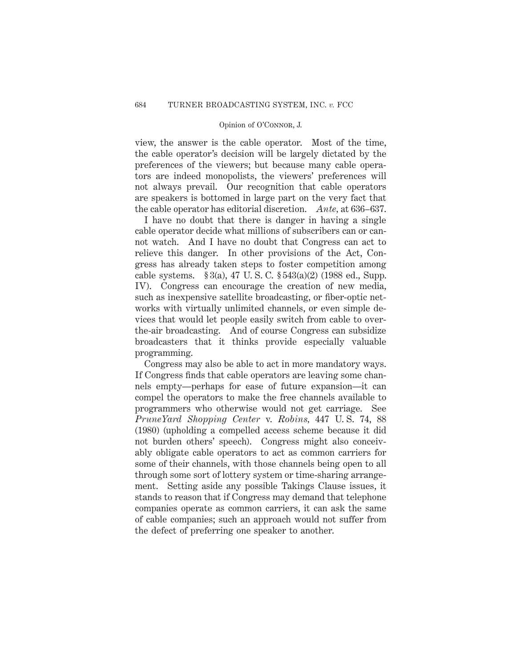view, the answer is the cable operator. Most of the time, the cable operator's decision will be largely dictated by the preferences of the viewers; but because many cable operators are indeed monopolists, the viewers' preferences will not always prevail. Our recognition that cable operators are speakers is bottomed in large part on the very fact that the cable operator has editorial discretion. *Ante,* at 636–637.

I have no doubt that there is danger in having a single cable operator decide what millions of subscribers can or cannot watch. And I have no doubt that Congress can act to relieve this danger. In other provisions of the Act, Congress has already taken steps to foster competition among cable systems. § 3(a), 47 U. S. C. § 543(a)(2) (1988 ed., Supp. IV). Congress can encourage the creation of new media, such as inexpensive satellite broadcasting, or fiber-optic networks with virtually unlimited channels, or even simple devices that would let people easily switch from cable to overthe-air broadcasting. And of course Congress can subsidize broadcasters that it thinks provide especially valuable programming.

Congress may also be able to act in more mandatory ways. If Congress finds that cable operators are leaving some channels empty—perhaps for ease of future expansion—it can compel the operators to make the free channels available to programmers who otherwise would not get carriage. See *PruneYard Shopping Center* v. *Robins,* 447 U. S. 74, 88 (1980) (upholding a compelled access scheme because it did not burden others' speech). Congress might also conceivably obligate cable operators to act as common carriers for some of their channels, with those channels being open to all through some sort of lottery system or time-sharing arrangement. Setting aside any possible Takings Clause issues, it stands to reason that if Congress may demand that telephone companies operate as common carriers, it can ask the same of cable companies; such an approach would not suffer from the defect of preferring one speaker to another.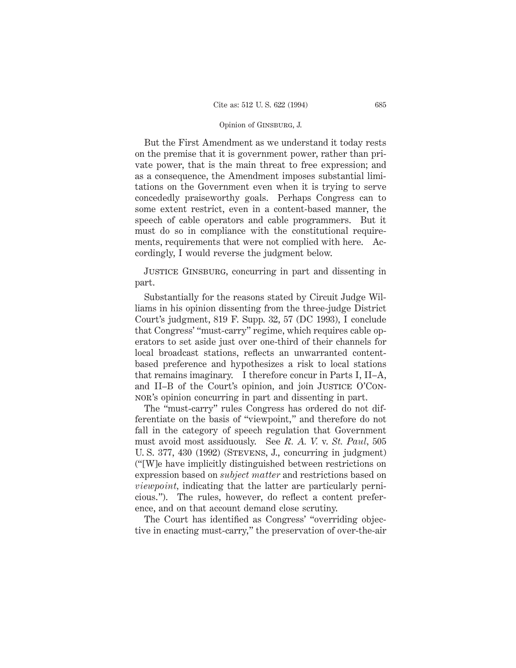#### Opinion of Ginsburg, J.

But the First Amendment as we understand it today rests on the premise that it is government power, rather than private power, that is the main threat to free expression; and as a consequence, the Amendment imposes substantial limitations on the Government even when it is trying to serve concededly praiseworthy goals. Perhaps Congress can to some extent restrict, even in a content-based manner, the speech of cable operators and cable programmers. But it must do so in compliance with the constitutional requirements, requirements that were not complied with here. Accordingly, I would reverse the judgment below.

Justice Ginsburg, concurring in part and dissenting in part.

Substantially for the reasons stated by Circuit Judge Williams in his opinion dissenting from the three-judge District Court's judgment, 819 F. Supp. 32, 57 (DC 1993), I conclude that Congress' "must-carry" regime, which requires cable operators to set aside just over one-third of their channels for local broadcast stations, reflects an unwarranted contentbased preference and hypothesizes a risk to local stations that remains imaginary. I therefore concur in Parts I, II–A, and II–B of the Court's opinion, and join Justice O'Connor's opinion concurring in part and dissenting in part.

The "must-carry" rules Congress has ordered do not differentiate on the basis of "viewpoint," and therefore do not fall in the category of speech regulation that Government must avoid most assiduously. See *R. A. V.* v. *St. Paul,* 505 U. S. 377, 430 (1992) (Stevens, J., concurring in judgment) ("[W]e have implicitly distinguished between restrictions on expression based on *subject matter* and restrictions based on *viewpoint,* indicating that the latter are particularly pernicious."). The rules, however, do reflect a content preference, and on that account demand close scrutiny.

The Court has identified as Congress' "overriding objective in enacting must-carry," the preservation of over-the-air